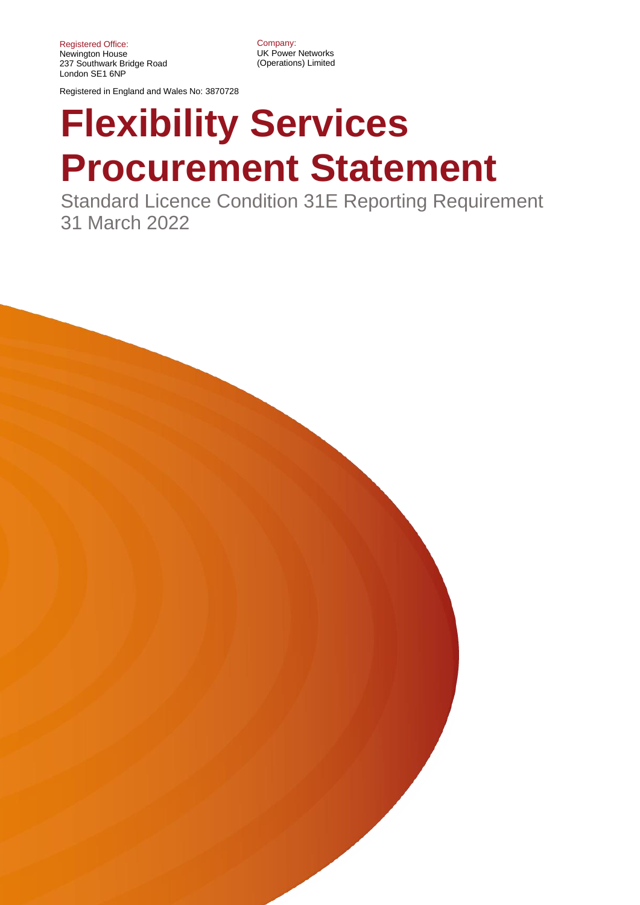Registered Office: Newington House 237 Southwark Bridge Road London SE1 6NP

Registered in England and Wales No: 3870728

Company: UK Power Networks (Operations) Limited

# **Flexibility Services Procurement Statement**

Standard Licence Condition 31E Reporting Requirement 31 March 2022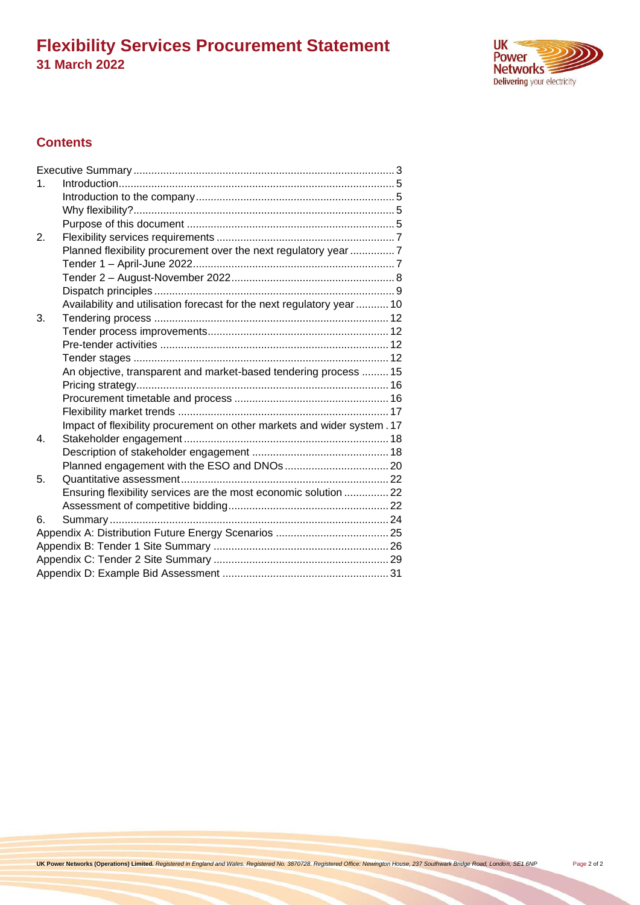

### **Contents**

| $\mathbf 1$ . |                                                                         |  |  |  |  |
|---------------|-------------------------------------------------------------------------|--|--|--|--|
|               |                                                                         |  |  |  |  |
|               |                                                                         |  |  |  |  |
|               |                                                                         |  |  |  |  |
| 2.            |                                                                         |  |  |  |  |
|               | Planned flexibility procurement over the next regulatory year 7         |  |  |  |  |
|               |                                                                         |  |  |  |  |
|               |                                                                         |  |  |  |  |
|               |                                                                         |  |  |  |  |
|               | Availability and utilisation forecast for the next regulatory year  10  |  |  |  |  |
| 3.            |                                                                         |  |  |  |  |
|               |                                                                         |  |  |  |  |
|               |                                                                         |  |  |  |  |
|               |                                                                         |  |  |  |  |
|               | An objective, transparent and market-based tendering process  15        |  |  |  |  |
|               |                                                                         |  |  |  |  |
|               |                                                                         |  |  |  |  |
|               |                                                                         |  |  |  |  |
|               | Impact of flexibility procurement on other markets and wider system. 17 |  |  |  |  |
| 4.            |                                                                         |  |  |  |  |
|               |                                                                         |  |  |  |  |
|               |                                                                         |  |  |  |  |
| 5.            |                                                                         |  |  |  |  |
|               | Ensuring flexibility services are the most economic solution  22        |  |  |  |  |
|               |                                                                         |  |  |  |  |
| 6.            |                                                                         |  |  |  |  |
|               |                                                                         |  |  |  |  |
|               |                                                                         |  |  |  |  |
|               |                                                                         |  |  |  |  |
|               |                                                                         |  |  |  |  |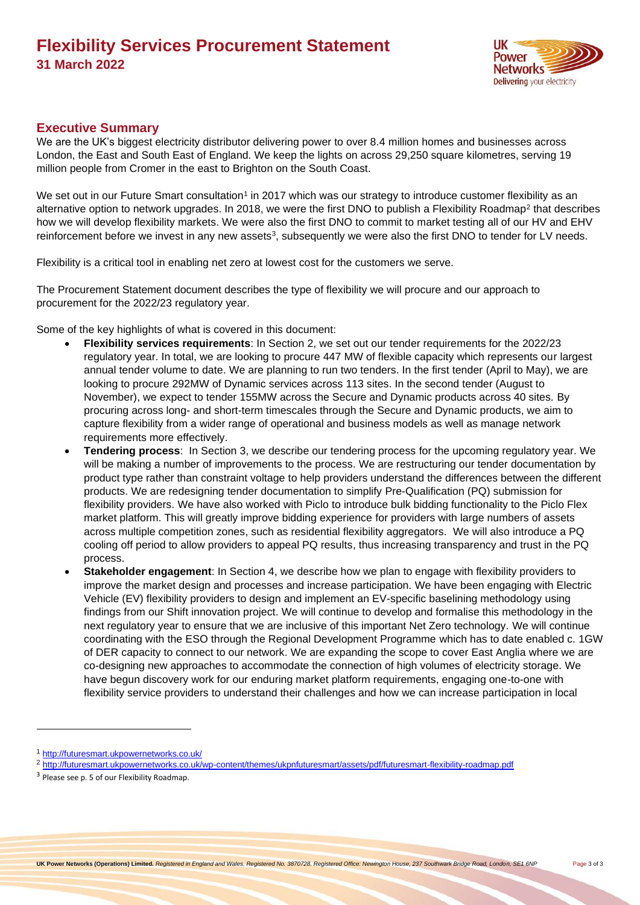

### <span id="page-2-0"></span>**Executive Summary**

We are the UK's biggest electricity distributor delivering power to over 8.4 million homes and businesses across London, the East and South East of England. We keep the lights on across 29,250 square kilometres, serving 19 million people from Cromer in the east to Brighton on the South Coast.

We set out in our Future Smart consultation<sup>1</sup> in 2017 which was our strategy to introduce customer flexibility as an alternative option to network upgrades. In 2018, we were the first DNO to publish a Flexibility Roadmap<sup>2</sup> that describes how we will develop flexibility markets. We were also the first DNO to commit to market testing all of our HV and EHV reinforcement before we invest in any new assets<sup>3</sup>, subsequently we were also the first DNO to tender for LV needs.

Flexibility is a critical tool in enabling net zero at lowest cost for the customers we serve.

The Procurement Statement document describes the type of flexibility we will procure and our approach to procurement for the 2022/23 regulatory year.

Some of the key highlights of what is covered in this document:

- **Flexibility services requirements**: In Section 2, we set out our tender requirements for the 2022/23 regulatory year. In total, we are looking to procure 447 MW of flexible capacity which represents our largest annual tender volume to date. We are planning to run two tenders. In the first tender (April to May), we are looking to procure 292MW of Dynamic services across 113 sites. In the second tender (August to November), we expect to tender 155MW across the Secure and Dynamic products across 40 sites. By procuring across long- and short-term timescales through the Secure and Dynamic products, we aim to capture flexibility from a wider range of operational and business models as well as manage network requirements more effectively.
- **Tendering process**: In Section 3, we describe our tendering process for the upcoming regulatory year. We will be making a number of improvements to the process. We are restructuring our tender documentation by product type rather than constraint voltage to help providers understand the differences between the different products. We are redesigning tender documentation to simplify Pre-Qualification (PQ) submission for flexibility providers. We have also worked with Piclo to introduce bulk bidding functionality to the Piclo Flex market platform. This will greatly improve bidding experience for providers with large numbers of assets across multiple competition zones, such as residential flexibility aggregators. We will also introduce a PQ cooling off period to allow providers to appeal PQ results, thus increasing transparency and trust in the PQ process.
- **Stakeholder engagement**: In Section 4, we describe how we plan to engage with flexibility providers to improve the market design and processes and increase participation. We have been engaging with Electric Vehicle (EV) flexibility providers to design and implement an EV-specific baselining methodology using findings from our Shift innovation project. We will continue to develop and formalise this methodology in the next regulatory year to ensure that we are inclusive of this important Net Zero technology. We will continue coordinating with the ESO through the Regional Development Programme which has to date enabled c. 1GW of DER capacity to connect to our network. We are expanding the scope to cover East Anglia where we are co-designing new approaches to accommodate the connection of high volumes of electricity storage. We have begun discovery work for our enduring market platform requirements, engaging one-to-one with flexibility service providers to understand their challenges and how we can increase participation in local

<sup>1</sup> <http://futuresmart.ukpowernetworks.co.uk/>

<sup>2</sup> <http://futuresmart.ukpowernetworks.co.uk/wp-content/themes/ukpnfuturesmart/assets/pdf/futuresmart-flexibility-roadmap.pdf>

<sup>&</sup>lt;sup>3</sup> Please see p. 5 of our Flexibility Roadmap.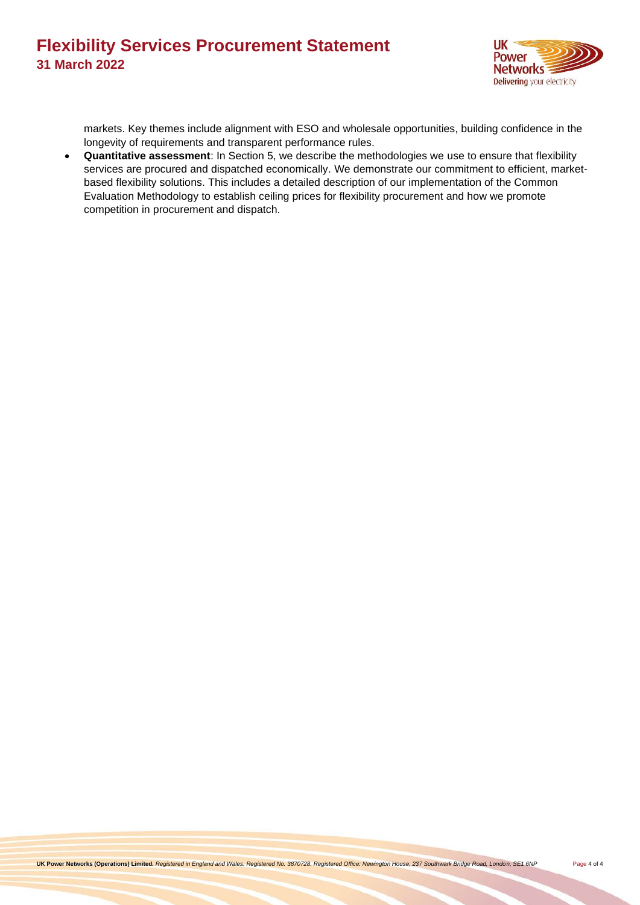

markets. Key themes include alignment with ESO and wholesale opportunities, building confidence in the longevity of requirements and transparent performance rules.

• **Quantitative assessment**: In Section 5, we describe the methodologies we use to ensure that flexibility services are procured and dispatched economically. We demonstrate our commitment to efficient, marketbased flexibility solutions. This includes a detailed description of our implementation of the Common Evaluation Methodology to establish ceiling prices for flexibility procurement and how we promote competition in procurement and dispatch.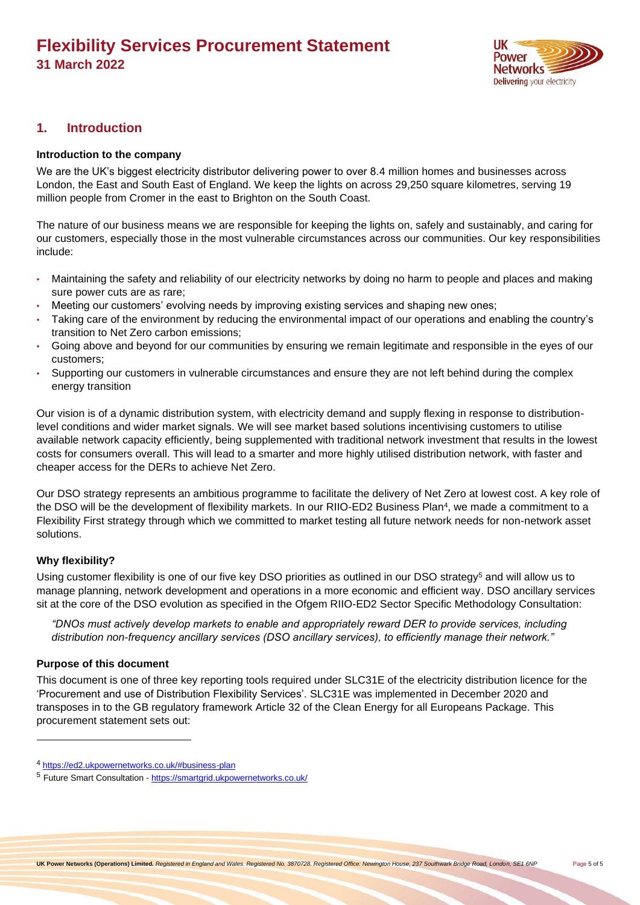

### <span id="page-4-1"></span><span id="page-4-0"></span>**1. Introduction**

#### **Introduction to the company**

We are the UK's biggest electricity distributor delivering power to over 8.4 million homes and businesses across London, the East and South East of England. We keep the lights on across 29,250 square kilometres, serving 19 million people from Cromer in the east to Brighton on the South Coast.

The nature of our business means we are responsible for keeping the lights on, safely and sustainably, and caring for our customers, especially those in the most vulnerable circumstances across our communities. Our key responsibilities include:

- Maintaining the safety and reliability of our electricity networks by doing no harm to people and places and making sure power cuts are as rare;
- Meeting our customers' evolving needs by improving existing services and shaping new ones;
- Taking care of the environment by reducing the environmental impact of our operations and enabling the country's transition to Net Zero carbon emissions;
- Going above and beyond for our communities by ensuring we remain legitimate and responsible in the eyes of our customers;
- Supporting our customers in vulnerable circumstances and ensure they are not left behind during the complex energy transition

Our vision is of a dynamic distribution system, with electricity demand and supply flexing in response to distributionlevel conditions and wider market signals. We will see market based solutions incentivising customers to utilise available network capacity efficiently, being supplemented with traditional network investment that results in the lowest costs for consumers overall. This will lead to a smarter and more highly utilised distribution network, with faster and cheaper access for the DERs to achieve Net Zero.

Our DSO strategy represents an ambitious programme to facilitate the delivery of Net Zero at lowest cost. A key role of the DSO will be the development of flexibility markets. In our RIIO-ED2 Business Plan<sup>4</sup>, we made a commitment to a Flexibility First strategy through which we committed to market testing all future network needs for non-network asset solutions.

### <span id="page-4-2"></span>**Why flexibility?**

Using customer flexibility is one of our five key DSO priorities as outlined in our DSO strategy<sup>5</sup> and will allow us to manage planning, network development and operations in a more economic and efficient way. DSO ancillary services sit at the core of the DSO evolution as specified in the Ofgem RIIO-ED2 Sector Specific Methodology Consultation:

*"DNOs must actively develop markets to enable and appropriately reward DER to provide services, including distribution non-frequency ancillary services (DSO ancillary services), to efficiently manage their network."*

#### <span id="page-4-3"></span>**Purpose of this document**

This document is one of three key reporting tools required under SLC31E of the electricity distribution licence for the 'Procurement and use of Distribution Flexibility Services'. SLC31E was implemented in December 2020 and transposes in to the GB regulatory framework Article 32 of the Clean Energy for all Europeans Package. This procurement statement sets out:

<sup>4</sup> <https://ed2.ukpowernetworks.co.uk/#business-plan>

<sup>5</sup> Future Smart Consultation - <https://smartgrid.ukpowernetworks.co.uk/>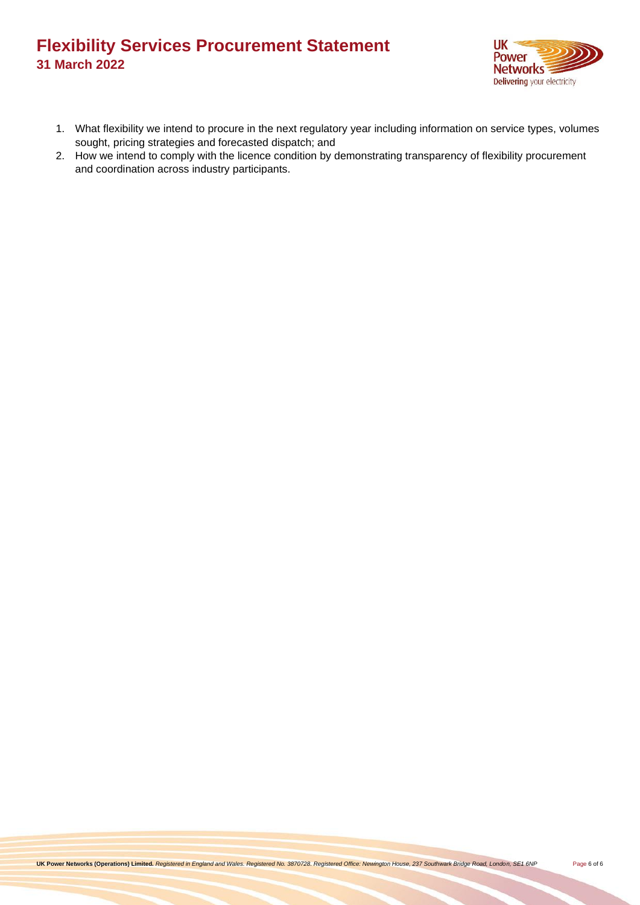

- 1. What flexibility we intend to procure in the next regulatory year including information on service types, volumes sought, pricing strategies and forecasted dispatch; and
- 2. How we intend to comply with the licence condition by demonstrating transparency of flexibility procurement and coordination across industry participants.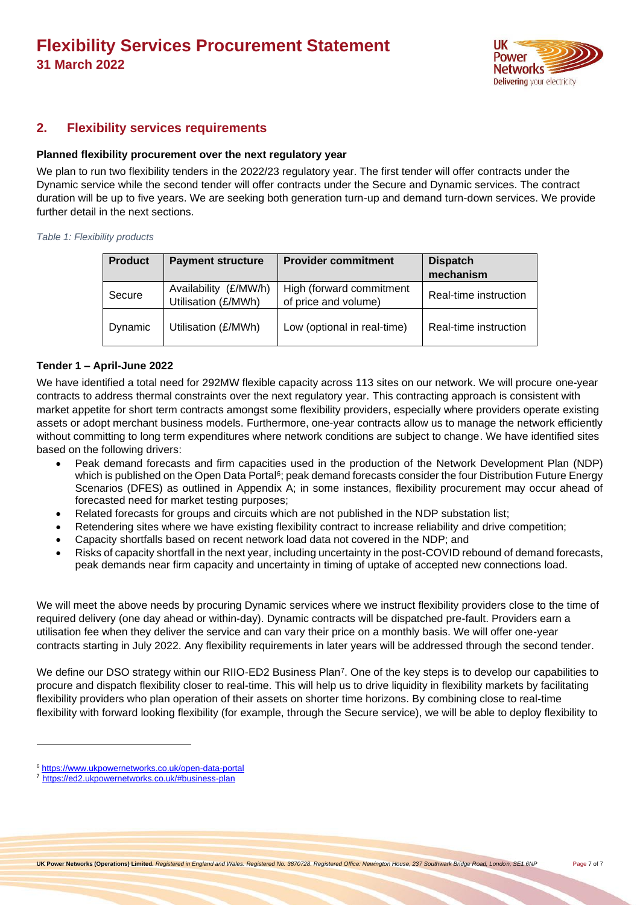

### <span id="page-6-1"></span><span id="page-6-0"></span>**2. Flexibility services requirements**

#### **Planned flexibility procurement over the next regulatory year**

We plan to run two flexibility tenders in the 2022/23 regulatory year. The first tender will offer contracts under the Dynamic service while the second tender will offer contracts under the Secure and Dynamic services. The contract duration will be up to five years. We are seeking both generation turn-up and demand turn-down services. We provide further detail in the next sections.

#### *Table 1: Flexibility products*

| <b>Product</b> | <b>Payment structure</b>                     | <b>Provider commitment</b>                       | <b>Dispatch</b><br>mechanism |
|----------------|----------------------------------------------|--------------------------------------------------|------------------------------|
| Secure         | Availability (£/MW/h)<br>Utilisation (£/MWh) | High (forward commitment<br>of price and volume) | Real-time instruction        |
| Dynamic        | Utilisation (£/MWh)                          | Low (optional in real-time)                      | Real-time instruction        |

#### <span id="page-6-2"></span>**Tender 1 – April-June 2022**

We have identified a total need for 292MW flexible capacity across 113 sites on our network. We will procure one-year contracts to address thermal constraints over the next regulatory year. This contracting approach is consistent with market appetite for short term contracts amongst some flexibility providers, especially where providers operate existing assets or adopt merchant business models. Furthermore, one-year contracts allow us to manage the network efficiently without committing to long term expenditures where network conditions are subject to change. We have identified sites based on the following drivers:

- Peak demand forecasts and firm capacities used in the production of the Network Development Plan (NDP) which is published on the Open Data Portal<sup>6</sup>; peak demand forecasts consider the four Distribution Future Energy Scenarios (DFES) as outlined in Appendix A; in some instances, flexibility procurement may occur ahead of forecasted need for market testing purposes;
- Related forecasts for groups and circuits which are not published in the NDP substation list;
- Retendering sites where we have existing flexibility contract to increase reliability and drive competition;
- Capacity shortfalls based on recent network load data not covered in the NDP; and
- Risks of capacity shortfall in the next year, including uncertainty in the post-COVID rebound of demand forecasts, peak demands near firm capacity and uncertainty in timing of uptake of accepted new connections load.

We will meet the above needs by procuring Dynamic services where we instruct flexibility providers close to the time of required delivery (one day ahead or within-day). Dynamic contracts will be dispatched pre-fault. Providers earn a utilisation fee when they deliver the service and can vary their price on a monthly basis. We will offer one-year contracts starting in July 2022. Any flexibility requirements in later years will be addressed through the second tender.

We define our DSO strategy within our RIIO-ED2 Business Plan<sup>7</sup>. One of the key steps is to develop our capabilities to procure and dispatch flexibility closer to real-time. This will help us to drive liquidity in flexibility markets by facilitating flexibility providers who plan operation of their assets on shorter time horizons. By combining close to real-time flexibility with forward looking flexibility (for example, through the Secure service), we will be able to deploy flexibility to

<sup>6</sup> <https://www.ukpowernetworks.co.uk/open-data-portal>

<sup>7</sup> <https://ed2.ukpowernetworks.co.uk/#business-plan>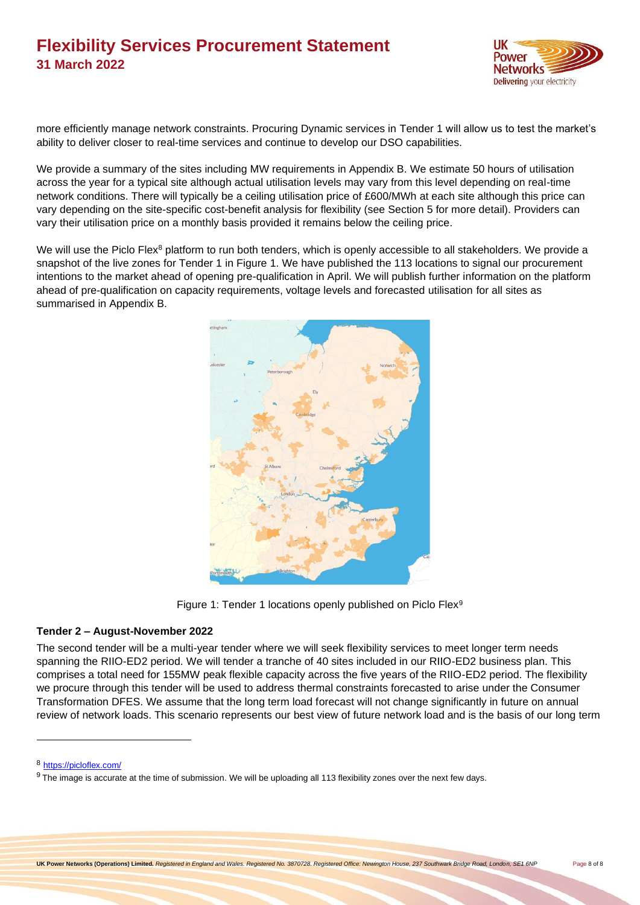

more efficiently manage network constraints. Procuring Dynamic services in Tender 1 will allow us to test the market's ability to deliver closer to real-time services and continue to develop our DSO capabilities.

We provide a summary of the sites including MW requirements in Appendix B. We estimate 50 hours of utilisation across the year for a typical site although actual utilisation levels may vary from this level depending on real-time network conditions. There will typically be a ceiling utilisation price of £600/MWh at each site although this price can vary depending on the site-specific cost-benefit analysis for flexibility (see Section 5 for more detail). Providers can vary their utilisation price on a monthly basis provided it remains below the ceiling price.

We will use the Piclo Flex<sup>8</sup> platform to run both tenders, which is openly accessible to all stakeholders. We provide a snapshot of the live zones for Tender 1 in [Figure 1.](#page-7-1) We have published the 113 locations to signal our procurement intentions to the market ahead of opening pre-qualification in April. We will publish further information on the platform ahead of pre-qualification on capacity requirements, voltage levels and forecasted utilisation for all sites as summarised in Appendix B.



Figure 1: Tender 1 locations openly published on Piclo Flex<sup>9</sup>

### <span id="page-7-1"></span><span id="page-7-0"></span>**Tender 2 – August-November 2022**

The second tender will be a multi-year tender where we will seek flexibility services to meet longer term needs spanning the RIIO-ED2 period. We will tender a tranche of 40 sites included in our RIIO-ED2 business plan. This comprises a total need for 155MW peak flexible capacity across the five years of the RIIO-ED2 period. The flexibility we procure through this tender will be used to address thermal constraints forecasted to arise under the Consumer Transformation DFES. We assume that the long term load forecast will not change significantly in future on annual review of network loads. This scenario represents our best view of future network load and is the basis of our long term

<sup>8</sup> <https://picloflex.com/>

 $9$  The image is accurate at the time of submission. We will be uploading all 113 flexibility zones over the next few days.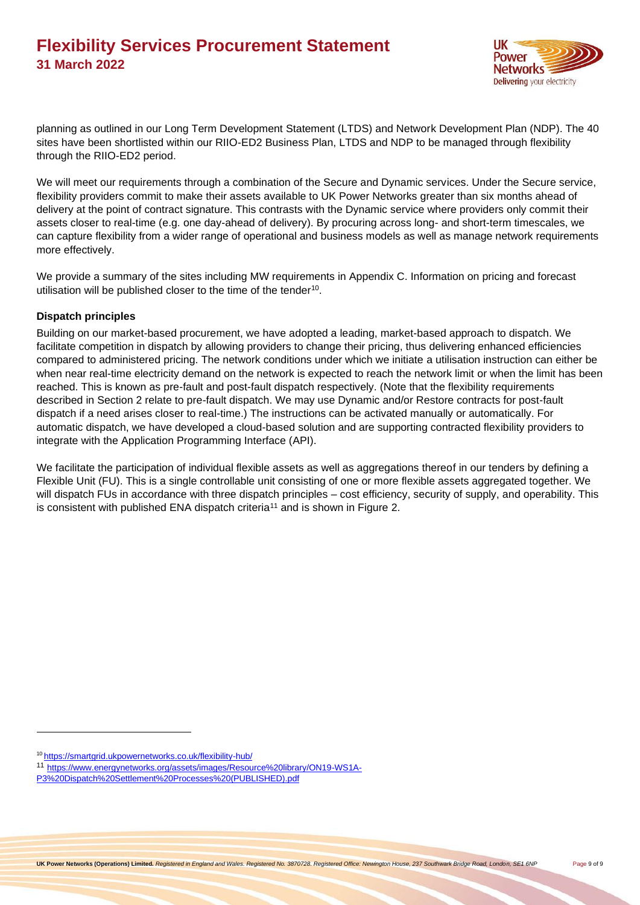

planning as outlined in our Long Term Development Statement (LTDS) and Network Development Plan (NDP). The 40 sites have been shortlisted within our RIIO-ED2 Business Plan, LTDS and NDP to be managed through flexibility through the RIIO-ED2 period.

We will meet our requirements through a combination of the Secure and Dynamic services. Under the Secure service, flexibility providers commit to make their assets available to UK Power Networks greater than six months ahead of delivery at the point of contract signature. This contrasts with the Dynamic service where providers only commit their assets closer to real-time (e.g. one day-ahead of delivery). By procuring across long- and short-term timescales, we can capture flexibility from a wider range of operational and business models as well as manage network requirements more effectively.

We provide a summary of the sites including MW requirements in Appendix C. Information on pricing and forecast utilisation will be published closer to the time of the tender<sup>10</sup>.

### <span id="page-8-0"></span>**Dispatch principles**

Building on our market-based procurement, we have adopted a leading, market-based approach to dispatch. We facilitate competition in dispatch by allowing providers to change their pricing, thus delivering enhanced efficiencies compared to administered pricing. The network conditions under which we initiate a utilisation instruction can either be when near real-time electricity demand on the network is expected to reach the network limit or when the limit has been reached. This is known as pre-fault and post-fault dispatch respectively. (Note that the flexibility requirements described in Section 2 relate to pre-fault dispatch. We may use Dynamic and/or Restore contracts for post-fault dispatch if a need arises closer to real-time.) The instructions can be activated manually or automatically. For automatic dispatch, we have developed a cloud-based solution and are supporting contracted flexibility providers to integrate with the Application Programming Interface (API).

We facilitate the participation of individual flexible assets as well as aggregations thereof in our tenders by defining a Flexible Unit (FU). This is a single controllable unit consisting of one or more flexible assets aggregated together. We will dispatch FUs in accordance with three dispatch principles – cost efficiency, security of supply, and operability. This is consistent with published ENA dispatch criteria<sup>11</sup> and is shown in [Figure 2.](#page-9-1)

<sup>10</sup> <https://smartgrid.ukpowernetworks.co.uk/flexibility-hub/>

<sup>11</sup> [https://www.energynetworks.org/assets/images/Resource%20library/ON19-WS1A-](https://www.energynetworks.org/assets/images/Resource%20library/ON19-WS1A-P3%20Dispatch%20Settlement%20Processes%20(PUBLISHED).pdf)[P3%20Dispatch%20Settlement%20Processes%20\(PUBLISHED\).pdf](https://www.energynetworks.org/assets/images/Resource%20library/ON19-WS1A-P3%20Dispatch%20Settlement%20Processes%20(PUBLISHED).pdf)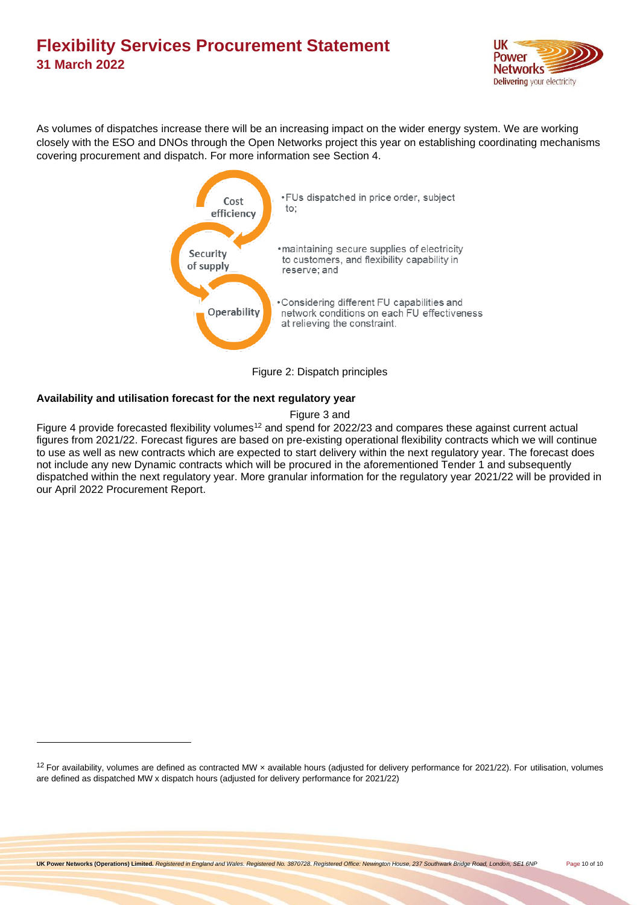

As volumes of dispatches increase there will be an increasing impact on the wider energy system. We are working closely with the ESO and DNOs through the Open Networks project this year on establishing coordinating mechanisms covering procurement and dispatch. For more information see Section 4.



Figure 2: Dispatch principles

### <span id="page-9-1"></span><span id="page-9-0"></span>**Availability and utilisation forecast for the next regulatory year**

[Figure 3](#page-10-0) and

[Figure 4](#page-10-1) provide forecasted flexibility volumes<sup>12</sup> and spend for 2022/23 and compares these against current actual figures from 2021/22. Forecast figures are based on pre-existing operational flexibility contracts which we will continue to use as well as new contracts which are expected to start delivery within the next regulatory year. The forecast does not include any new Dynamic contracts which will be procured in the aforementioned Tender 1 and subsequently dispatched within the next regulatory year. More granular information for the regulatory year 2021/22 will be provided in our April 2022 Procurement Report.

 $12$  For availability, volumes are defined as contracted MW x available hours (adjusted for delivery performance for 2021/22). For utilisation, volumes are defined as dispatched MW x dispatch hours (adjusted for delivery performance for 2021/22)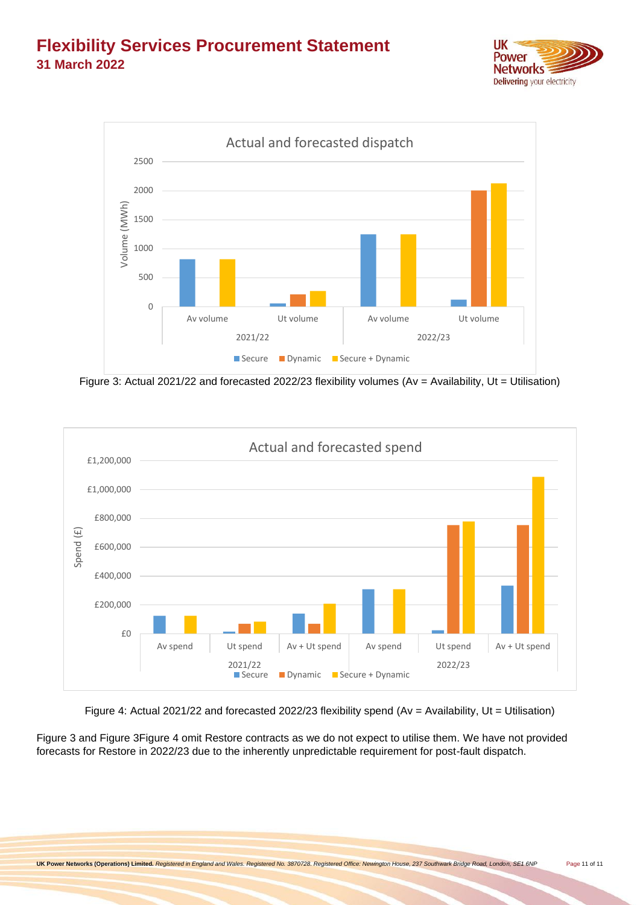



Figure 3: Actual 2021/22 and forecasted 2022/23 flexibility volumes (Av = Availability, Ut = Utilisation)

<span id="page-10-0"></span>

Figure 4: Actual 2021/22 and forecasted 2022/23 flexibility spend (Av = Availability, Ut = Utilisation)

<span id="page-10-2"></span><span id="page-10-1"></span>[Figure 3](#page-10-0) and [Figure 3](#page-10-0)[Figure 4](#page-10-2) omit Restore contracts as we do not expect to utilise them. We have not provided forecasts for Restore in 2022/23 due to the inherently unpredictable requirement for post-fault dispatch.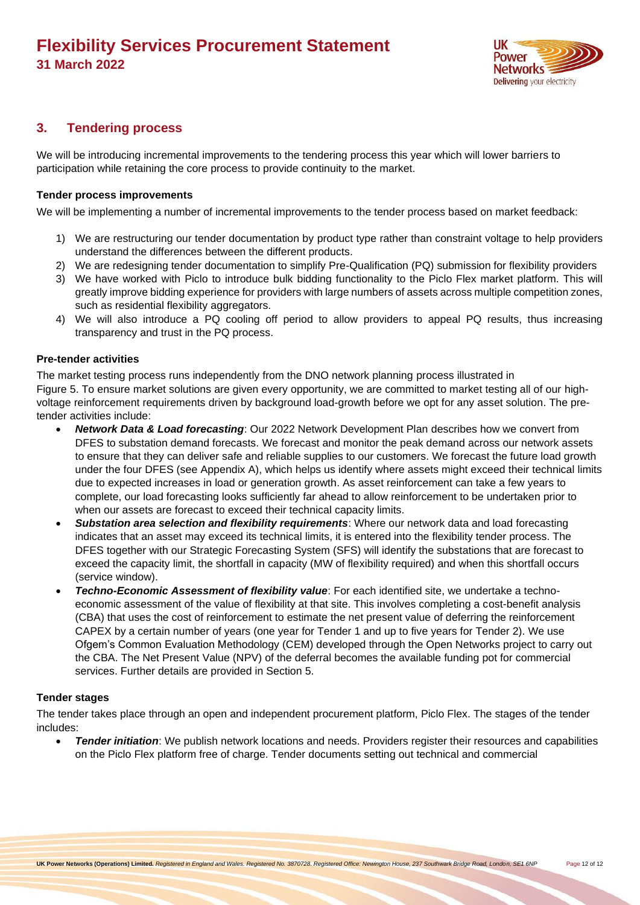

### <span id="page-11-0"></span>**3. Tendering process**

We will be introducing incremental improvements to the tendering process this year which will lower barriers to participation while retaining the core process to provide continuity to the market.

#### <span id="page-11-1"></span>**Tender process improvements**

We will be implementing a number of incremental improvements to the tender process based on market feedback:

- 1) We are restructuring our tender documentation by product type rather than constraint voltage to help providers understand the differences between the different products.
- 2) We are redesigning tender documentation to simplify Pre-Qualification (PQ) submission for flexibility providers
- 3) We have worked with Piclo to introduce bulk bidding functionality to the Piclo Flex market platform. This will greatly improve bidding experience for providers with large numbers of assets across multiple competition zones, such as residential flexibility aggregators.
- 4) We will also introduce a PQ cooling off period to allow providers to appeal PQ results, thus increasing transparency and trust in the PQ process.

#### <span id="page-11-2"></span>**Pre-tender activities**

The market testing process runs independently from the DNO network planning process illustrated in [Figure 5.](#page-13-0) To ensure market solutions are given every opportunity, we are committed to market testing all of our highvoltage reinforcement requirements driven by background load-growth before we opt for any asset solution. The pretender activities include:

- *Network Data & Load forecasting*: Our 2022 Network Development Plan describes how we convert from DFES to substation demand forecasts. We forecast and monitor the peak demand across our network assets to ensure that they can deliver safe and reliable supplies to our customers. We forecast the future load growth under the four DFES (see Appendix A), which helps us identify where assets might exceed their technical limits due to expected increases in load or generation growth. As asset reinforcement can take a few years to complete, our load forecasting looks sufficiently far ahead to allow reinforcement to be undertaken prior to when our assets are forecast to exceed their technical capacity limits.
- *Substation area selection and flexibility requirements*: Where our network data and load forecasting indicates that an asset may exceed its technical limits, it is entered into the flexibility tender process. The DFES together with our Strategic Forecasting System (SFS) will identify the substations that are forecast to exceed the capacity limit, the shortfall in capacity (MW of flexibility required) and when this shortfall occurs (service window).
- *Techno-Economic Assessment of flexibility value*: For each identified site, we undertake a technoeconomic assessment of the value of flexibility at that site. This involves completing a cost-benefit analysis (CBA) that uses the cost of reinforcement to estimate the net present value of deferring the reinforcement CAPEX by a certain number of years (one year for Tender 1 and up to five years for Tender 2). We use Ofgem's Common Evaluation Methodology (CEM) developed through the Open Networks project to carry out the CBA. The Net Present Value (NPV) of the deferral becomes the available funding pot for commercial services. Further details are provided in Section 5.

### <span id="page-11-3"></span>**Tender stages**

The tender takes place through an open and independent procurement platform, Piclo Flex. The stages of the tender includes:

• *Tender initiation*: We publish network locations and needs. Providers register their resources and capabilities on the Piclo Flex platform free of charge. Tender documents setting out technical and commercial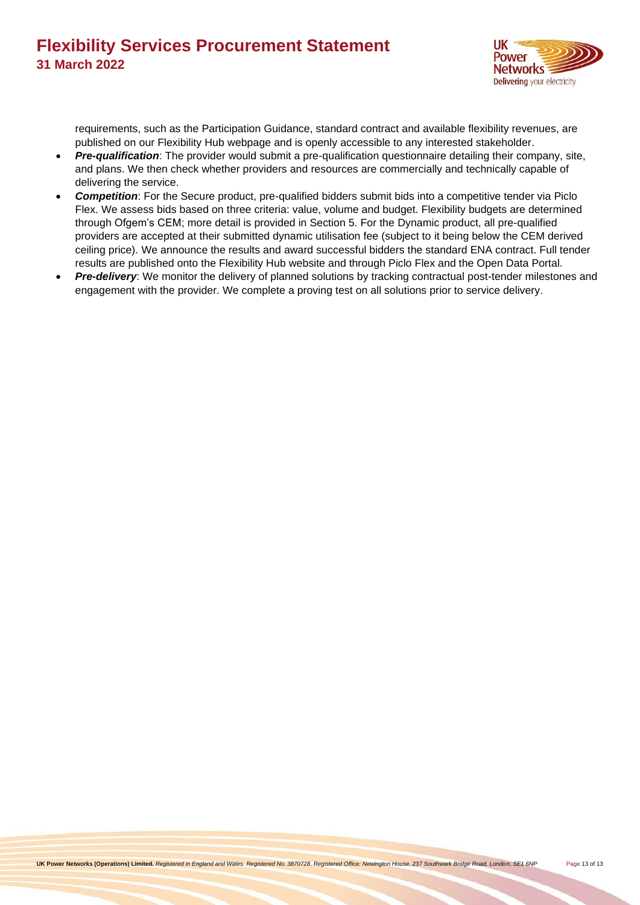

requirements, such as the Participation Guidance, standard contract and available flexibility revenues, are published on our Flexibility Hub webpage and is openly accessible to any interested stakeholder.

- *Pre-qualification*: The provider would submit a pre-qualification questionnaire detailing their company, site, and plans. We then check whether providers and resources are commercially and technically capable of delivering the service.
- *Competition*: For the Secure product, pre-qualified bidders submit bids into a competitive tender via Piclo Flex. We assess bids based on three criteria: value, volume and budget. Flexibility budgets are determined through Ofgem's CEM; more detail is provided in Section 5. For the Dynamic product, all pre-qualified providers are accepted at their submitted dynamic utilisation fee (subject to it being below the CEM derived ceiling price). We announce the results and award successful bidders the standard ENA contract. Full tender results are published onto the Flexibility Hub website and through Piclo Flex and the Open Data Portal.
- *Pre-delivery*: We monitor the delivery of planned solutions by tracking contractual post-tender milestones and engagement with the provider. We complete a proving test on all solutions prior to service delivery.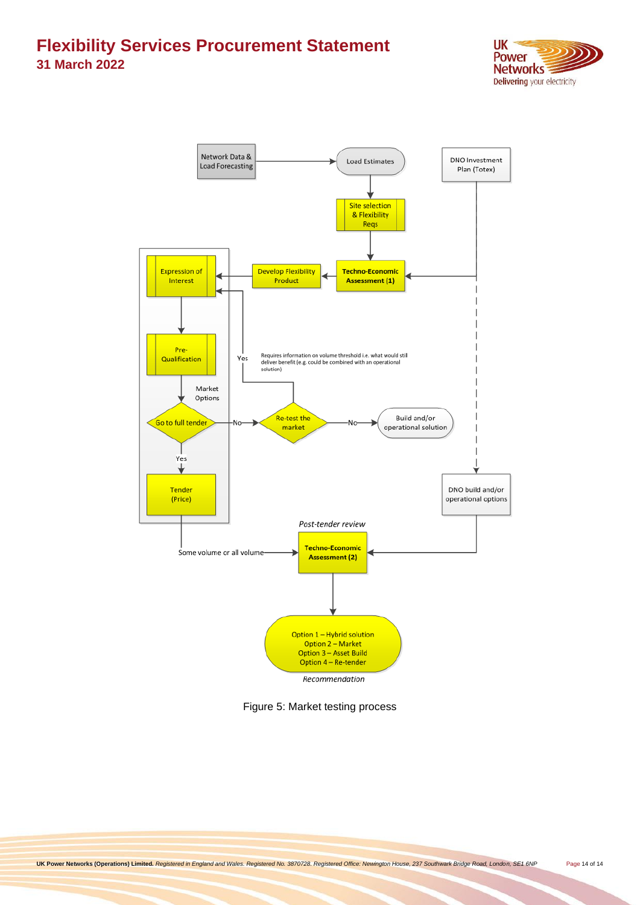



<span id="page-13-0"></span>Figure 5: Market testing process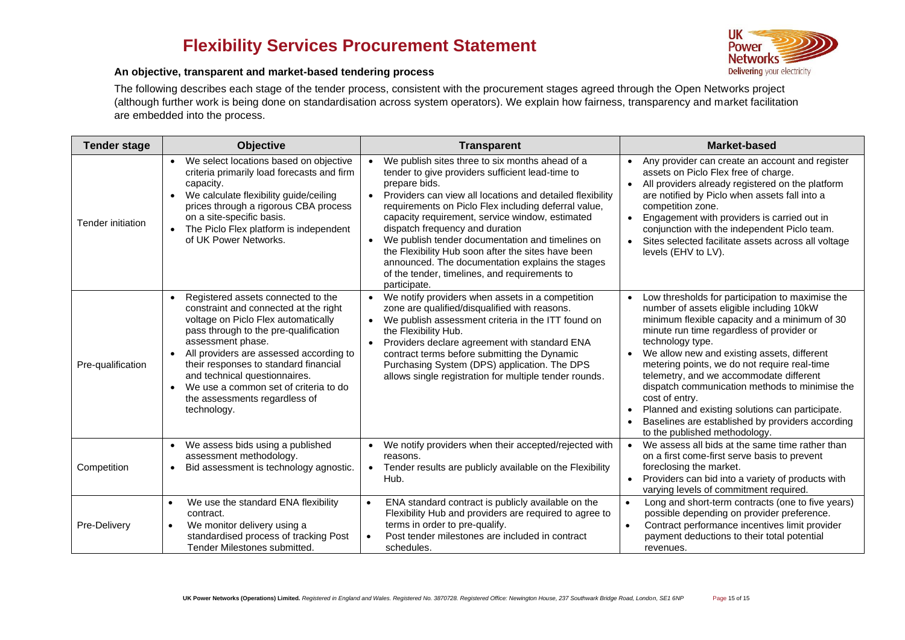

#### **An objective, transparent and market-based tendering process**

The following describes each stage of the tender process, consistent with the procurement stages agreed through the Open Networks project (although further work is being done on standardisation across system operators). We explain how fairness, transparency and market facilitation are embedded into the process.

<span id="page-14-0"></span>

| <b>Tender stage</b> | <b>Objective</b>                                                                                                                                                                                                                                                                                                                                                                               | <b>Transparent</b>                                                                                                                                                                                                                                                                                                                                                                                                                                                                                                                                                          | <b>Market-based</b>                                                                                                                                                                                                                                                                                                                                                                                                                                                                                                                                                  |
|---------------------|------------------------------------------------------------------------------------------------------------------------------------------------------------------------------------------------------------------------------------------------------------------------------------------------------------------------------------------------------------------------------------------------|-----------------------------------------------------------------------------------------------------------------------------------------------------------------------------------------------------------------------------------------------------------------------------------------------------------------------------------------------------------------------------------------------------------------------------------------------------------------------------------------------------------------------------------------------------------------------------|----------------------------------------------------------------------------------------------------------------------------------------------------------------------------------------------------------------------------------------------------------------------------------------------------------------------------------------------------------------------------------------------------------------------------------------------------------------------------------------------------------------------------------------------------------------------|
| Tender initiation   | We select locations based on objective<br>criteria primarily load forecasts and firm<br>capacity.<br>We calculate flexibility guide/ceiling<br>prices through a rigorous CBA process<br>on a site-specific basis.<br>• The Piclo Flex platform is independent<br>of UK Power Networks.                                                                                                         | We publish sites three to six months ahead of a<br>tender to give providers sufficient lead-time to<br>prepare bids.<br>Providers can view all locations and detailed flexibility<br>$\bullet$<br>requirements on Piclo Flex including deferral value,<br>capacity requirement, service window, estimated<br>dispatch frequency and duration<br>We publish tender documentation and timelines on<br>the Flexibility Hub soon after the sites have been<br>announced. The documentation explains the stages<br>of the tender, timelines, and requirements to<br>participate. | Any provider can create an account and register<br>assets on Piclo Flex free of charge.<br>All providers already registered on the platform<br>$\bullet$<br>are notified by Piclo when assets fall into a<br>competition zone.<br>Engagement with providers is carried out in<br>$\bullet$<br>conjunction with the independent Piclo team.<br>Sites selected facilitate assets across all voltage<br>levels (EHV to LV).                                                                                                                                             |
| Pre-qualification   | Registered assets connected to the<br>constraint and connected at the right<br>voltage on Piclo Flex automatically<br>pass through to the pre-qualification<br>assessment phase.<br>All providers are assessed according to<br>their responses to standard financial<br>and technical questionnaires.<br>We use a common set of criteria to do<br>the assessments regardless of<br>technology. | We notify providers when assets in a competition<br>$\bullet$<br>zone are qualified/disqualified with reasons.<br>We publish assessment criteria in the ITT found on<br>$\bullet$<br>the Flexibility Hub.<br>Providers declare agreement with standard ENA<br>$\bullet$<br>contract terms before submitting the Dynamic<br>Purchasing System (DPS) application. The DPS<br>allows single registration for multiple tender rounds.                                                                                                                                           | Low thresholds for participation to maximise the<br>number of assets eligible including 10kW<br>minimum flexible capacity and a minimum of 30<br>minute run time regardless of provider or<br>technology type.<br>We allow new and existing assets, different<br>metering points, we do not require real-time<br>telemetry, and we accommodate different<br>dispatch communication methods to minimise the<br>cost of entry.<br>Planned and existing solutions can participate.<br>Baselines are established by providers according<br>to the published methodology. |
| Competition         | We assess bids using a published<br>assessment methodology.<br>Bid assessment is technology agnostic.<br>$\bullet$                                                                                                                                                                                                                                                                             | We notify providers when their accepted/rejected with<br>$\bullet$<br>reasons.<br>Tender results are publicly available on the Flexibility<br>$\bullet$<br>Hub.                                                                                                                                                                                                                                                                                                                                                                                                             | We assess all bids at the same time rather than<br>on a first come-first serve basis to prevent<br>foreclosing the market.<br>Providers can bid into a variety of products with<br>$\bullet$<br>varying levels of commitment required.                                                                                                                                                                                                                                                                                                                               |
| Pre-Delivery        | We use the standard ENA flexibility<br>$\bullet$<br>contract.<br>We monitor delivery using a<br>$\bullet$<br>standardised process of tracking Post<br>Tender Milestones submitted.                                                                                                                                                                                                             | ENA standard contract is publicly available on the<br>$\bullet$<br>Flexibility Hub and providers are required to agree to<br>terms in order to pre-qualify.<br>Post tender milestones are included in contract<br>$\bullet$<br>schedules.                                                                                                                                                                                                                                                                                                                                   | Long and short-term contracts (one to five years)<br>$\bullet$<br>possible depending on provider preference.<br>Contract performance incentives limit provider<br>$\bullet$<br>payment deductions to their total potential<br>revenues.                                                                                                                                                                                                                                                                                                                              |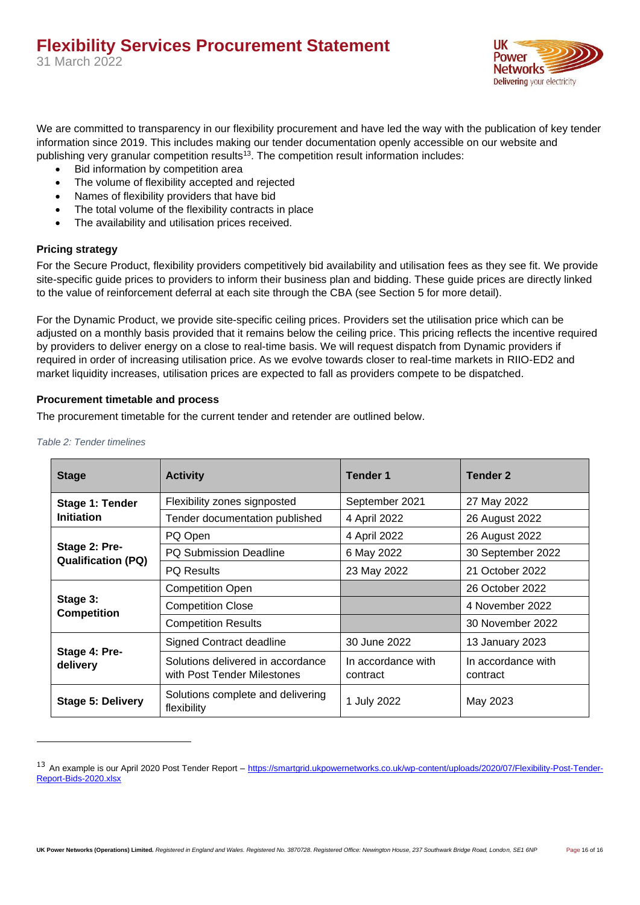

We are committed to transparency in our flexibility procurement and have led the way with the publication of key tender information since 2019. This includes making our tender documentation openly accessible on our website and publishing very granular competition results<sup>13</sup>. The competition result information includes:

- Bid information by competition area
- The volume of flexibility accepted and rejected
- Names of flexibility providers that have bid
- The total volume of the flexibility contracts in place
- The availability and utilisation prices received.

#### <span id="page-15-0"></span>**Pricing strategy**

For the Secure Product, flexibility providers competitively bid availability and utilisation fees as they see fit. We provide site-specific guide prices to providers to inform their business plan and bidding. These guide prices are directly linked to the value of reinforcement deferral at each site through the CBA (see Section 5 for more detail).

For the Dynamic Product, we provide site-specific ceiling prices. Providers set the utilisation price which can be adjusted on a monthly basis provided that it remains below the ceiling price. This pricing reflects the incentive required by providers to deliver energy on a close to real-time basis. We will request dispatch from Dynamic providers if required in order of increasing utilisation price. As we evolve towards closer to real-time markets in RIIO-ED2 and market liquidity increases, utilisation prices are expected to fall as providers compete to be dispatched.

#### <span id="page-15-1"></span>**Procurement timetable and process**

The procurement timetable for the current tender and retender are outlined below.

| <b>Stage</b>                               | <b>Activity</b>                                                  | <b>Tender 1</b>                | <b>Tender 2</b>                |
|--------------------------------------------|------------------------------------------------------------------|--------------------------------|--------------------------------|
| Stage 1: Tender                            | Flexibility zones signposted                                     | September 2021                 | 27 May 2022                    |
| <b>Initiation</b>                          | Tender documentation published                                   | 4 April 2022                   | 26 August 2022                 |
|                                            | PQ Open                                                          | 4 April 2022                   | 26 August 2022                 |
| Stage 2: Pre-<br><b>Qualification (PQ)</b> | <b>PQ Submission Deadline</b>                                    | 6 May 2022                     | 30 September 2022              |
|                                            | <b>PQ Results</b>                                                | 23 May 2022                    | 21 October 2022                |
|                                            | <b>Competition Open</b>                                          |                                | 26 October 2022                |
| Stage 3:<br><b>Competition</b>             | <b>Competition Close</b>                                         |                                | 4 November 2022                |
|                                            | <b>Competition Results</b>                                       |                                | 30 November 2022               |
|                                            | Signed Contract deadline                                         | 30 June 2022                   | 13 January 2023                |
| Stage 4: Pre-<br>delivery                  | Solutions delivered in accordance<br>with Post Tender Milestones | In accordance with<br>contract | In accordance with<br>contract |
| <b>Stage 5: Delivery</b>                   | Solutions complete and delivering<br>flexibility                 | 1 July 2022                    | May 2023                       |

*Table 2: Tender timelines*

<sup>&</sup>lt;sup>13</sup> An example is our April 2020 Post Tender Report – [https://smartgrid.ukpowernetworks.co.uk/wp-content/uploads/2020/07/Flexibility-Post-Tender-](https://smartgrid.ukpowernetworks.co.uk/wp-content/uploads/2020/07/Flexibility-Post-Tender-Report-Bids-2020.xlsx)[Report-Bids-2020.xlsx](https://smartgrid.ukpowernetworks.co.uk/wp-content/uploads/2020/07/Flexibility-Post-Tender-Report-Bids-2020.xlsx)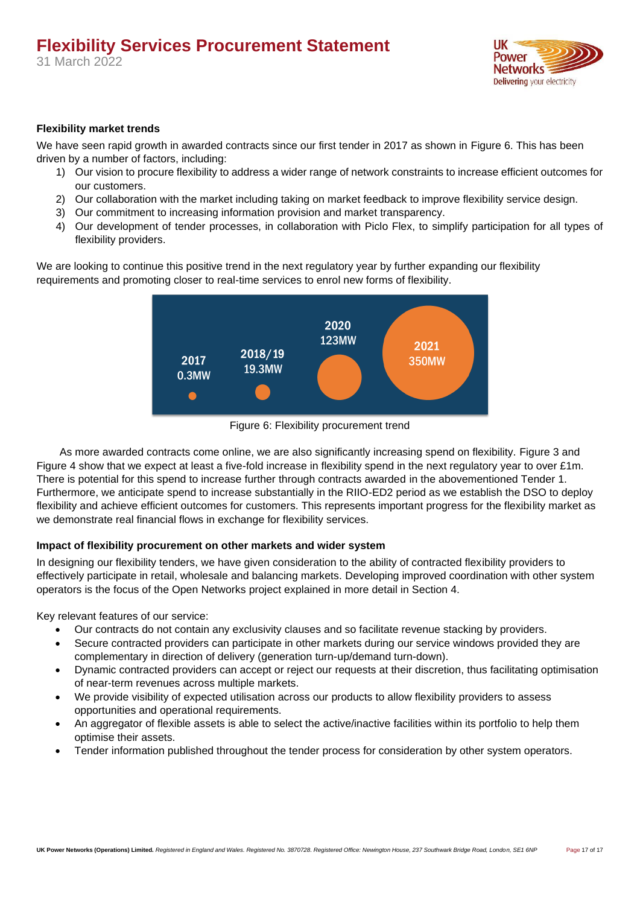

### <span id="page-16-0"></span>**Flexibility market trends**

We have seen rapid growth in awarded contracts since our first tender in 2017 as shown in [Figure 6.](#page-16-2) This has been driven by a number of factors, including:

- 1) Our vision to procure flexibility to address a wider range of network constraints to increase efficient outcomes for our customers.
- 2) Our collaboration with the market including taking on market feedback to improve flexibility service design.
- 3) Our commitment to increasing information provision and market transparency.
- 4) Our development of tender processes, in collaboration with Piclo Flex, to simplify participation for all types of flexibility providers.

We are looking to continue this positive trend in the next regulatory year by further expanding our flexibility requirements and promoting closer to real-time services to enrol new forms of flexibility.



Figure 6: Flexibility procurement trend

<span id="page-16-2"></span>As more awarded contracts come online, we are also significantly increasing spend on flexibility. [Figure 3](#page-10-0) and [Figure 4](#page-10-1) show that we expect at least a five-fold increase in flexibility spend in the next regulatory year to over £1m. There is potential for this spend to increase further through contracts awarded in the abovementioned Tender 1. Furthermore, we anticipate spend to increase substantially in the RIIO-ED2 period as we establish the DSO to deploy flexibility and achieve efficient outcomes for customers. This represents important progress for the flexibility market as we demonstrate real financial flows in exchange for flexibility services.

### <span id="page-16-1"></span>**Impact of flexibility procurement on other markets and wider system**

In designing our flexibility tenders, we have given consideration to the ability of contracted flexibility providers to effectively participate in retail, wholesale and balancing markets. Developing improved coordination with other system operators is the focus of the Open Networks project explained in more detail in Section 4.

Key relevant features of our service:

- Our contracts do not contain any exclusivity clauses and so facilitate revenue stacking by providers.
- Secure contracted providers can participate in other markets during our service windows provided they are complementary in direction of delivery (generation turn-up/demand turn-down).
- Dynamic contracted providers can accept or reject our requests at their discretion, thus facilitating optimisation of near-term revenues across multiple markets.
- We provide visibility of expected utilisation across our products to allow flexibility providers to assess opportunities and operational requirements.
- An aggregator of flexible assets is able to select the active/inactive facilities within its portfolio to help them optimise their assets.
- Tender information published throughout the tender process for consideration by other system operators.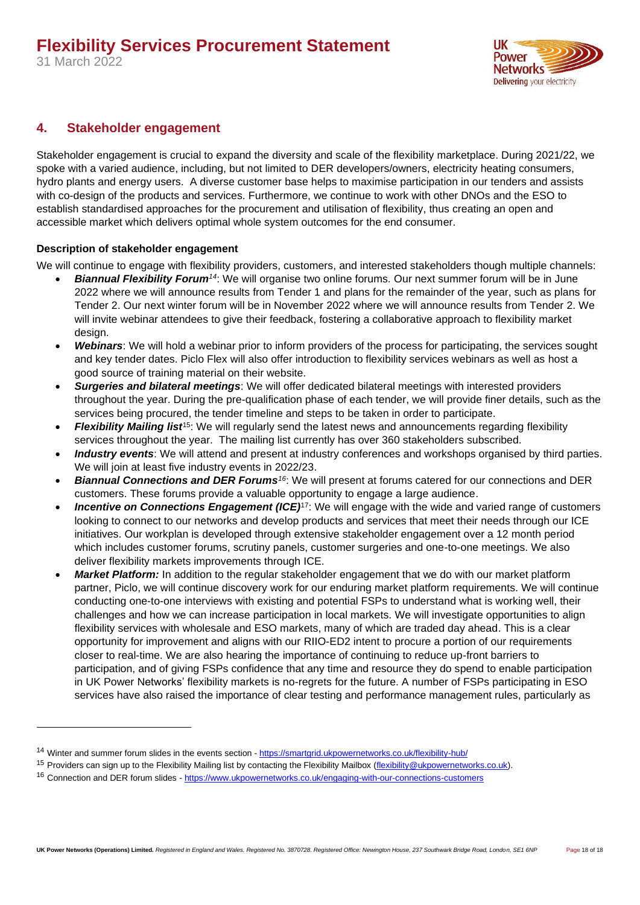

### <span id="page-17-0"></span>**4. Stakeholder engagement**

Stakeholder engagement is crucial to expand the diversity and scale of the flexibility marketplace. During 2021/22, we spoke with a varied audience, including, but not limited to DER developers/owners, electricity heating consumers, hydro plants and energy users. A diverse customer base helps to maximise participation in our tenders and assists with co-design of the products and services. Furthermore, we continue to work with other DNOs and the ESO to establish standardised approaches for the procurement and utilisation of flexibility, thus creating an open and accessible market which delivers optimal whole system outcomes for the end consumer.

### <span id="page-17-1"></span>**Description of stakeholder engagement**

We will continue to engage with flexibility providers, customers, and interested stakeholders though multiple channels:

- *Biannual Flexibility Forum<sup>14</sup>*: We will organise two online forums. Our next summer forum will be in June 2022 where we will announce results from Tender 1 and plans for the remainder of the year, such as plans for Tender 2. Our next winter forum will be in November 2022 where we will announce results from Tender 2. We will invite webinar attendees to give their feedback, fostering a collaborative approach to flexibility market design.
- *Webinars*: We will hold a webinar prior to inform providers of the process for participating, the services sought and key tender dates. Piclo Flex will also offer introduction to flexibility services webinars as well as host a good source of training material on their website.
- *Surgeries and bilateral meetings*: We will offer dedicated bilateral meetings with interested providers throughout the year. During the pre-qualification phase of each tender, we will provide finer details, such as the services being procured, the tender timeline and steps to be taken in order to participate.
- *Flexibility Mailing list*<sup>15</sup>: We will regularly send the latest news and announcements regarding flexibility services throughout the year. The mailing list currently has over 360 stakeholders subscribed.
- *Industry events*: We will attend and present at industry conferences and workshops organised by third parties. We will join at least five industry events in 2022/23.
- *Biannual Connections and DER Forums<sup>16</sup>*: We will present at forums catered for our connections and DER customers. These forums provide a valuable opportunity to engage a large audience.
- **Incentive on Connections Engagement (ICE)<sup>17</sup>:** We will engage with the wide and varied range of customers looking to connect to our networks and develop products and services that meet their needs through our ICE initiatives. Our workplan is developed through extensive stakeholder engagement over a 12 month period which includes customer forums, scrutiny panels, customer surgeries and one-to-one meetings. We also deliver flexibility markets improvements through ICE.
- *Market Platform:* In addition to the regular stakeholder engagement that we do with our market platform partner, Piclo, we will continue discovery work for our enduring market platform requirements. We will continue conducting one-to-one interviews with existing and potential FSPs to understand what is working well, their challenges and how we can increase participation in local markets. We will investigate opportunities to align flexibility services with wholesale and ESO markets, many of which are traded day ahead. This is a clear opportunity for improvement and aligns with our RIIO-ED2 intent to procure a portion of our requirements closer to real-time. We are also hearing the importance of continuing to reduce up-front barriers to participation, and of giving FSPs confidence that any time and resource they do spend to enable participation in UK Power Networks' flexibility markets is no-regrets for the future. A number of FSPs participating in ESO services have also raised the importance of clear testing and performance management rules, particularly as

<sup>14</sup> Winter and summer forum slides in the events section - <https://smartgrid.ukpowernetworks.co.uk/flexibility-hub/>

<sup>&</sup>lt;sup>15</sup> Providers can sign up to the Flexibility Mailing list by contacting the Flexibility Mailbox [\(flexibility@ukpowernetworks.co.uk\)](file:///D:/Users/measd1p/AppData/Local/Microsoft/Windows/Temporary%20Internet%20Files/Content.Outlook/H6KR1NUA/flexibility@ukpowernetworks.co.uk).

<sup>16</sup> Connection and DER forum slides - <https://www.ukpowernetworks.co.uk/engaging-with-our-connections-customers>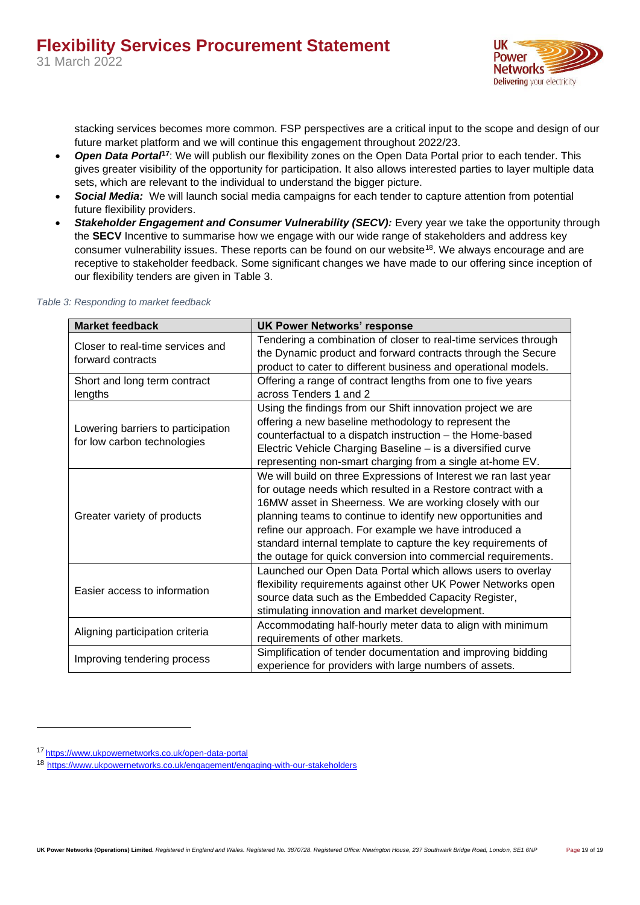

stacking services becomes more common. FSP perspectives are a critical input to the scope and design of our future market platform and we will continue this engagement throughout 2022/23.

- *Open Data Portal***<sup>17</sup>**: We will publish our flexibility zones on the Open Data Portal prior to each tender. This gives greater visibility of the opportunity for participation. It also allows interested parties to layer multiple data sets, which are relevant to the individual to understand the bigger picture.
- *Social Media:* We will launch social media campaigns for each tender to capture attention from potential future flexibility providers.
- **Stakeholder Engagement and Consumer Vulnerability (SECV):** Every year we take the opportunity through the **SECV** Incentive to summarise how we engage with our wide range of stakeholders and address key consumer vulnerability issues. These reports can be found on our website<sup>18</sup>. We always encourage and are receptive to stakeholder feedback. Some significant changes we have made to our offering since inception of our flexibility tenders are given in [Table 3.](#page-18-0)

| <b>Market feedback</b>                                            | <b>UK Power Networks' response</b>                                                                                                                                                                                                                                                                                                                                                                                                                     |
|-------------------------------------------------------------------|--------------------------------------------------------------------------------------------------------------------------------------------------------------------------------------------------------------------------------------------------------------------------------------------------------------------------------------------------------------------------------------------------------------------------------------------------------|
| Closer to real-time services and<br>forward contracts             | Tendering a combination of closer to real-time services through<br>the Dynamic product and forward contracts through the Secure<br>product to cater to different business and operational models.                                                                                                                                                                                                                                                      |
| Short and long term contract<br>lengths                           | Offering a range of contract lengths from one to five years<br>across Tenders 1 and 2                                                                                                                                                                                                                                                                                                                                                                  |
| Lowering barriers to participation<br>for low carbon technologies | Using the findings from our Shift innovation project we are<br>offering a new baseline methodology to represent the<br>counterfactual to a dispatch instruction - the Home-based<br>Electric Vehicle Charging Baseline - is a diversified curve<br>representing non-smart charging from a single at-home EV.                                                                                                                                           |
| Greater variety of products                                       | We will build on three Expressions of Interest we ran last year<br>for outage needs which resulted in a Restore contract with a<br>16MW asset in Sheerness. We are working closely with our<br>planning teams to continue to identify new opportunities and<br>refine our approach. For example we have introduced a<br>standard internal template to capture the key requirements of<br>the outage for quick conversion into commercial requirements. |
| Easier access to information                                      | Launched our Open Data Portal which allows users to overlay<br>flexibility requirements against other UK Power Networks open<br>source data such as the Embedded Capacity Register,<br>stimulating innovation and market development.                                                                                                                                                                                                                  |
| Aligning participation criteria                                   | Accommodating half-hourly meter data to align with minimum<br>requirements of other markets.                                                                                                                                                                                                                                                                                                                                                           |
| Improving tendering process                                       | Simplification of tender documentation and improving bidding<br>experience for providers with large numbers of assets.                                                                                                                                                                                                                                                                                                                                 |

<span id="page-18-0"></span>*Table 3: Responding to market feedback*

<sup>17</sup> <https://www.ukpowernetworks.co.uk/open-data-portal>

<sup>18</sup> <https://www.ukpowernetworks.co.uk/engagement/engaging-with-our-stakeholders>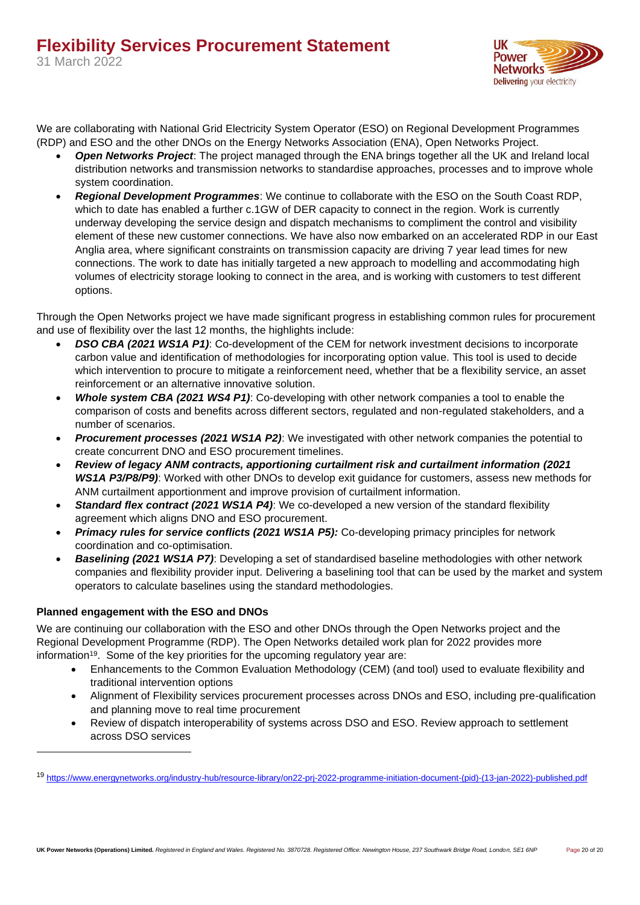

We are collaborating with National Grid Electricity System Operator (ESO) on Regional Development Programmes (RDP) and ESO and the other DNOs on the Energy Networks Association (ENA), Open Networks Project.

- *Open Networks Project*: The project managed through the ENA brings together all the UK and Ireland local distribution networks and transmission networks to standardise approaches, processes and to improve whole system coordination.
- *Regional Development Programmes*: We continue to collaborate with the ESO on the South Coast RDP, which to date has enabled a further c.1GW of DER capacity to connect in the region. Work is currently underway developing the service design and dispatch mechanisms to compliment the control and visibility element of these new customer connections. We have also now embarked on an accelerated RDP in our East Anglia area, where significant constraints on transmission capacity are driving 7 year lead times for new connections. The work to date has initially targeted a new approach to modelling and accommodating high volumes of electricity storage looking to connect in the area, and is working with customers to test different options.

Through the Open Networks project we have made significant progress in establishing common rules for procurement and use of flexibility over the last 12 months, the highlights include:

- *DSO CBA (2021 WS1A P1)*: Co-development of the CEM for network investment decisions to incorporate carbon value and identification of methodologies for incorporating option value. This tool is used to decide which intervention to procure to mitigate a reinforcement need, whether that be a flexibility service, an asset reinforcement or an alternative innovative solution.
- *Whole system CBA (2021 WS4 P1)*: Co-developing with other network companies a tool to enable the comparison of costs and benefits across different sectors, regulated and non-regulated stakeholders, and a number of scenarios.
- *Procurement processes (2021 WS1A P2)*: We investigated with other network companies the potential to create concurrent DNO and ESO procurement timelines.
- *Review of legacy ANM contracts, apportioning curtailment risk and curtailment information (2021 WS1A P3/P8/P9)*: Worked with other DNOs to develop exit guidance for customers, assess new methods for ANM curtailment apportionment and improve provision of curtailment information.
- *Standard flex contract (2021 WS1A P4)*: We co-developed a new version of the standard flexibility agreement which aligns DNO and ESO procurement.
- *Primacy rules for service conflicts (2021 WS1A P5):* Co-developing primacy principles for network coordination and co-optimisation.
- *Baselining (2021 WS1A P7)*: Developing a set of standardised baseline methodologies with other network companies and flexibility provider input. Delivering a baselining tool that can be used by the market and system operators to calculate baselines using the standard methodologies.

### <span id="page-19-0"></span>**Planned engagement with the ESO and DNOs**

We are continuing our collaboration with the ESO and other DNOs through the Open Networks project and the Regional Development Programme (RDP). The Open Networks detailed work plan for 2022 provides more information<sup>19</sup>. Some of the key priorities for the upcoming regulatory year are:

- Enhancements to the Common Evaluation Methodology (CEM) (and tool) used to evaluate flexibility and traditional intervention options
- Alignment of Flexibility services procurement processes across DNOs and ESO, including pre-qualification and planning move to real time procurement
- Review of dispatch interoperability of systems across DSO and ESO. Review approach to settlement across DSO services

<sup>19</sup> [https://www.energynetworks.org/industry-hub/resource-library/on22-prj-2022-programme-initiation-document-\(pid\)-\(13-jan-2022\)-published.pdf](https://www.energynetworks.org/industry-hub/resource-library/on22-prj-2022-programme-initiation-document-(pid)-(13-jan-2022)-published.pdf)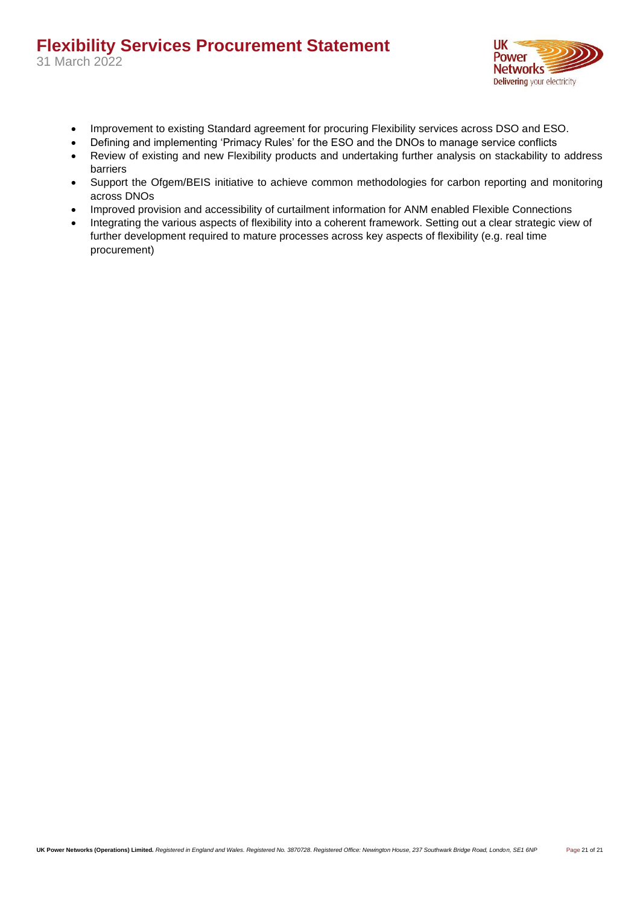31 March 2022



- Improvement to existing Standard agreement for procuring Flexibility services across DSO and ESO.
- Defining and implementing 'Primacy Rules' for the ESO and the DNOs to manage service conflicts
- Review of existing and new Flexibility products and undertaking further analysis on stackability to address barriers
- Support the Ofgem/BEIS initiative to achieve common methodologies for carbon reporting and monitoring across DNOs
- Improved provision and accessibility of curtailment information for ANM enabled Flexible Connections
- Integrating the various aspects of flexibility into a coherent framework. Setting out a clear strategic view of further development required to mature processes across key aspects of flexibility (e.g. real time procurement)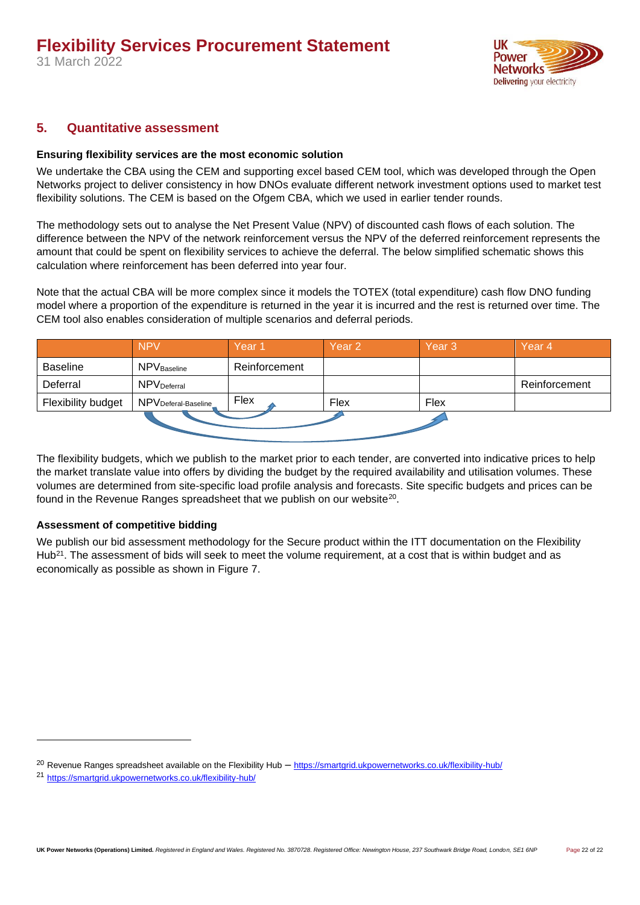

### <span id="page-21-1"></span><span id="page-21-0"></span>**5. Quantitative assessment**

### **Ensuring flexibility services are the most economic solution**

We undertake the CBA using the CEM and supporting excel based CEM tool, which was developed through the Open Networks project to deliver consistency in how DNOs evaluate different network investment options used to market test flexibility solutions. The CEM is based on the Ofgem CBA, which we used in earlier tender rounds.

The methodology sets out to analyse the Net Present Value (NPV) of discounted cash flows of each solution. The difference between the NPV of the network reinforcement versus the NPV of the deferred reinforcement represents the amount that could be spent on flexibility services to achieve the deferral. The below simplified schematic shows this calculation where reinforcement has been deferred into year four.

Note that the actual CBA will be more complex since it models the TOTEX (total expenditure) cash flow DNO funding model where a proportion of the expenditure is returned in the year it is incurred and the rest is returned over time. The CEM tool also enables consideration of multiple scenarios and deferral periods.

|                    | <b>NPV</b>              | Year <sub>1</sub> | Year 2 | Year <sub>3</sub> | Year <sub>4</sub> |  |
|--------------------|-------------------------|-------------------|--------|-------------------|-------------------|--|
| <b>Baseline</b>    | <b>NPV</b> Baseline     | Reinforcement     |        |                   |                   |  |
| Deferral           | NPV <sub>Deferral</sub> |                   |        |                   | Reinforcement     |  |
| Flexibility budget | NPVDeferal-Baseline     | Flex              | Flex   | Flex              |                   |  |
|                    |                         |                   |        |                   |                   |  |

The flexibility budgets, which we publish to the market prior to each tender, are converted into indicative prices to help the market translate value into offers by dividing the budget by the required availability and utilisation volumes. These volumes are determined from site-specific load profile analysis and forecasts. Site specific budgets and prices can be found in the Revenue Ranges spreadsheet that we publish on our website<sup>20</sup>.

### <span id="page-21-2"></span>**Assessment of competitive bidding**

We publish our bid assessment methodology for the Secure product within the ITT documentation on the Flexibility Hub<sup>21</sup>. The assessment of bids will seek to meet the volume requirement, at a cost that is within budget and as economically as possible as shown in [Figure 7.](#page-22-0)

<sup>20</sup> Revenue Ranges spreadsheet available on the Flexibility Hub – <https://smartgrid.ukpowernetworks.co.uk/flexibility-hub/>

<sup>21</sup> <https://smartgrid.ukpowernetworks.co.uk/flexibility-hub/>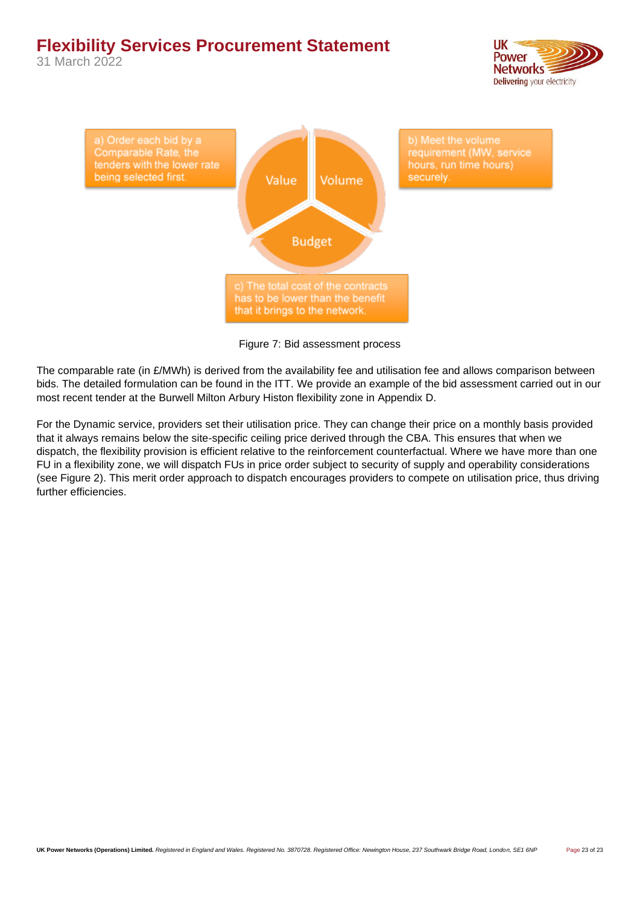31 March 2022





Figure 7: Bid assessment process

<span id="page-22-0"></span>The comparable rate (in £/MWh) is derived from the availability fee and utilisation fee and allows comparison between bids. The detailed formulation can be found in the ITT. We provide an example of the bid assessment carried out in our most recent tender at the Burwell Milton Arbury Histon flexibility zone in Appendix D.

For the Dynamic service, providers set their utilisation price. They can change their price on a monthly basis provided that it always remains below the site-specific ceiling price derived through the CBA. This ensures that when we dispatch, the flexibility provision is efficient relative to the reinforcement counterfactual. Where we have more than one FU in a flexibility zone, we will dispatch FUs in price order subject to security of supply and operability considerations (see [Figure 2\)](#page-9-1). This merit order approach to dispatch encourages providers to compete on utilisation price, thus driving further efficiencies.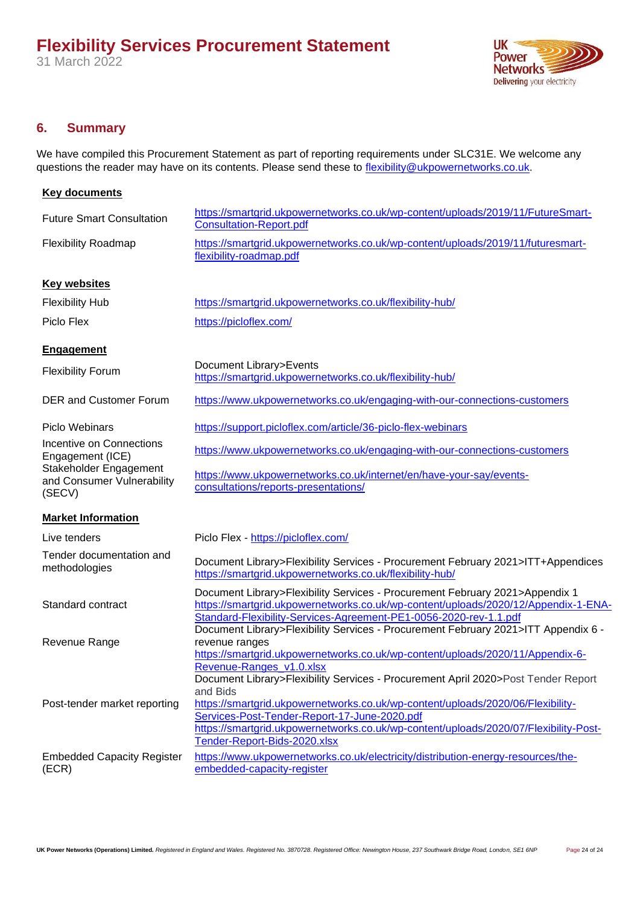

### <span id="page-23-0"></span>**6. Summary**

We have compiled this Procurement Statement as part of reporting requirements under SLC31E. We welcome any questions the reader may have on its contents. Please send these to [flexibility@ukpowernetworks.co.uk.](mailto:flexibility@ukpowernetworks.co.uk)

| <b>Key documents</b>                                           |                                                                                                                                                                                                                                                                                                                                                                                      |
|----------------------------------------------------------------|--------------------------------------------------------------------------------------------------------------------------------------------------------------------------------------------------------------------------------------------------------------------------------------------------------------------------------------------------------------------------------------|
| <b>Future Smart Consultation</b>                               | https://smartgrid.ukpowernetworks.co.uk/wp-content/uploads/2019/11/FutureSmart-<br><b>Consultation-Report.pdf</b>                                                                                                                                                                                                                                                                    |
| <b>Flexibility Roadmap</b>                                     | https://smartgrid.ukpowernetworks.co.uk/wp-content/uploads/2019/11/futuresmart-<br>flexibility-roadmap.pdf                                                                                                                                                                                                                                                                           |
| <b>Key websites</b>                                            |                                                                                                                                                                                                                                                                                                                                                                                      |
| <b>Flexibility Hub</b>                                         | https://smartgrid.ukpowernetworks.co.uk/flexibility-hub/                                                                                                                                                                                                                                                                                                                             |
| Piclo Flex                                                     | https://picloflex.com/                                                                                                                                                                                                                                                                                                                                                               |
| <b>Engagement</b>                                              |                                                                                                                                                                                                                                                                                                                                                                                      |
| <b>Flexibility Forum</b>                                       | Document Library>Events<br>https://smartgrid.ukpowernetworks.co.uk/flexibility-hub/                                                                                                                                                                                                                                                                                                  |
| <b>DER and Customer Forum</b>                                  | https://www.ukpowernetworks.co.uk/engaging-with-our-connections-customers                                                                                                                                                                                                                                                                                                            |
| <b>Piclo Webinars</b>                                          | https://support.picloflex.com/article/36-piclo-flex-webinars                                                                                                                                                                                                                                                                                                                         |
| Incentive on Connections<br>Engagement (ICE)                   | https://www.ukpowernetworks.co.uk/engaging-with-our-connections-customers                                                                                                                                                                                                                                                                                                            |
| Stakeholder Engagement<br>and Consumer Vulnerability<br>(SECV) | https://www.ukpowernetworks.co.uk/internet/en/have-your-say/events-<br>consultations/reports-presentations/                                                                                                                                                                                                                                                                          |
| <b>Market Information</b>                                      |                                                                                                                                                                                                                                                                                                                                                                                      |
| Live tenders                                                   | Piclo Flex - https://picloflex.com/                                                                                                                                                                                                                                                                                                                                                  |
| Tender documentation and<br>methodologies                      | Document Library>Flexibility Services - Procurement February 2021>ITT+Appendices<br>https://smartgrid.ukpowernetworks.co.uk/flexibility-hub/                                                                                                                                                                                                                                         |
| Standard contract                                              | Document Library>Flexibility Services - Procurement February 2021>Appendix 1<br>https://smartgrid.ukpowernetworks.co.uk/wp-content/uploads/2020/12/Appendix-1-ENA-<br>Standard-Flexibility-Services-Agreement-PE1-0056-2020-rev-1.1.pdf<br>Document Library>Flexibility Services - Procurement February 2021>ITT Appendix 6 -                                                        |
| Revenue Range                                                  | revenue ranges<br>https://smartgrid.ukpowernetworks.co.uk/wp-content/uploads/2020/11/Appendix-6-                                                                                                                                                                                                                                                                                     |
| Post-tender market reporting                                   | Revenue-Ranges_v1.0.xlsx<br>Document Library>Flexibility Services - Procurement April 2020>Post Tender Report<br>and Bids<br>https://smartgrid.ukpowernetworks.co.uk/wp-content/uploads/2020/06/Flexibility-<br>Services-Post-Tender-Report-17-June-2020.pdf<br>https://smartgrid.ukpowernetworks.co.uk/wp-content/uploads/2020/07/Flexibility-Post-<br>Tender-Report-Bids-2020.xlsx |
| <b>Embedded Capacity Register</b><br>(ECR)                     | https://www.ukpowernetworks.co.uk/electricity/distribution-energy-resources/the-<br>embedded-capacity-register                                                                                                                                                                                                                                                                       |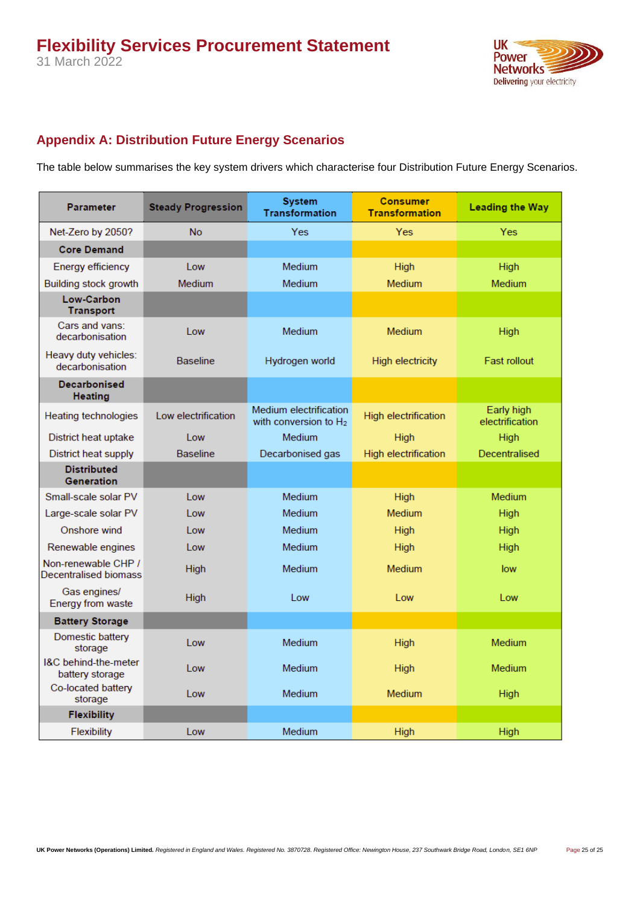**UK Power Networks** Delivering your electricity

### <span id="page-24-0"></span>**Appendix A: Distribution Future Energy Scenarios**

The table below summarises the key system drivers which characterise four Distribution Future Energy Scenarios.

| <b>Parameter</b>                             | <b>Steady Progression</b> | <b>System</b><br><b>Transformation</b>             | <b>Consumer</b><br><b>Transformation</b> | <b>Leading the Way</b>        |
|----------------------------------------------|---------------------------|----------------------------------------------------|------------------------------------------|-------------------------------|
| Net-Zero by 2050?                            | <b>No</b>                 | <b>Yes</b>                                         | <b>Yes</b>                               | <b>Yes</b>                    |
| <b>Core Demand</b>                           |                           |                                                    |                                          |                               |
| <b>Energy efficiency</b>                     | Low                       | <b>Medium</b>                                      | <b>High</b>                              | <b>High</b>                   |
| Building stock growth                        | <b>Medium</b>             | <b>Medium</b>                                      | <b>Medium</b>                            | <b>Medium</b>                 |
| Low-Carbon<br><b>Transport</b>               |                           |                                                    |                                          |                               |
| Cars and vans:<br>decarbonisation            | Low                       | Medium                                             | <b>Medium</b>                            | <b>High</b>                   |
| Heavy duty vehicles:<br>decarbonisation      | <b>Baseline</b>           | Hydrogen world                                     | <b>High electricity</b>                  | <b>Fast rollout</b>           |
| <b>Decarbonised</b><br><b>Heating</b>        |                           |                                                    |                                          |                               |
| <b>Heating technologies</b>                  | Low electrification       | Medium electrification<br>with conversion to $H_2$ | <b>High electrification</b>              | Early high<br>electrification |
| District heat uptake                         | Low                       | <b>Medium</b>                                      | <b>High</b>                              | <b>High</b>                   |
| District heat supply                         | <b>Baseline</b>           | Decarbonised gas                                   | <b>High electrification</b>              | Decentralised                 |
| <b>Distributed</b><br><b>Generation</b>      |                           |                                                    |                                          |                               |
| Small-scale solar PV                         | l ow                      | <b>Medium</b>                                      | <b>High</b>                              | <b>Medium</b>                 |
| Large-scale solar PV                         | I ow                      | <b>Medium</b>                                      | <b>Medium</b>                            | <b>High</b>                   |
| Onshore wind                                 | Low                       | <b>Medium</b>                                      | High                                     | <b>High</b>                   |
| Renewable engines                            | Low                       | <b>Medium</b>                                      | <b>High</b>                              | <b>High</b>                   |
| Non-renewable CHP /<br>Decentralised biomass | <b>High</b>               | <b>Medium</b>                                      | <b>Medium</b>                            | low                           |
| Gas engines/<br>Energy from waste            | <b>High</b>               | Low                                                | Low                                      | Low                           |
| <b>Battery Storage</b>                       |                           |                                                    |                                          |                               |
| Domestic battery<br>storage                  | I ow                      | <b>Medium</b>                                      | <b>High</b>                              | <b>Medium</b>                 |
| I&C behind-the-meter<br>battery storage      | Low                       | <b>Medium</b>                                      | <b>High</b>                              | <b>Medium</b>                 |
| Co-located battery<br>storage                | Low                       | <b>Medium</b>                                      | <b>Medium</b>                            | <b>High</b>                   |
| <b>Flexibility</b>                           |                           |                                                    |                                          |                               |
| Flexibility                                  | Low                       | Medium                                             | <b>High</b>                              | <b>High</b>                   |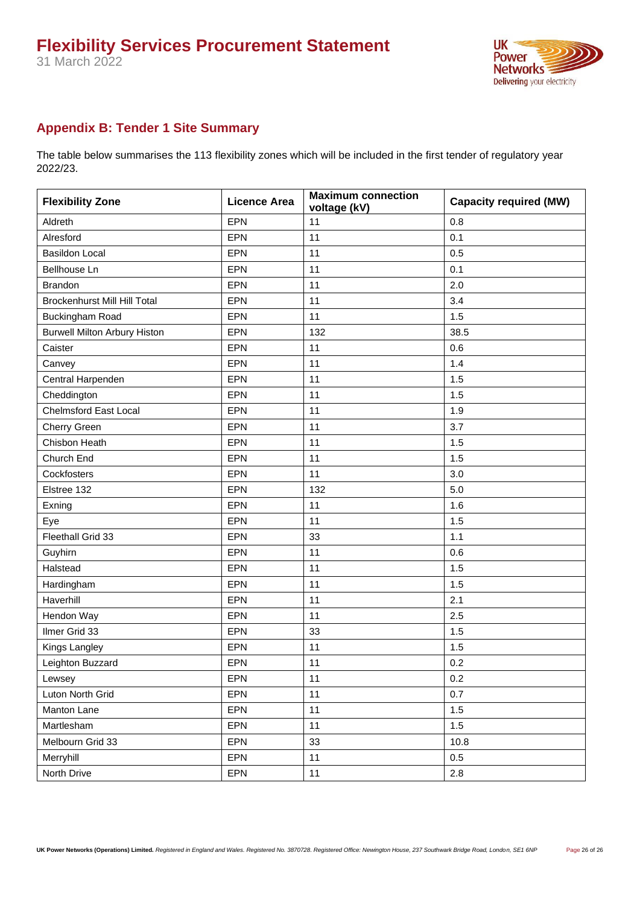

### <span id="page-25-0"></span>**Appendix B: Tender 1 Site Summary**

The table below summarises the 113 flexibility zones which will be included in the first tender of regulatory year 2022/23.

| <b>Flexibility Zone</b>             | <b>Licence Area</b> | <b>Maximum connection</b><br>voltage (kV) | <b>Capacity required (MW)</b> |
|-------------------------------------|---------------------|-------------------------------------------|-------------------------------|
| Aldreth                             | <b>EPN</b>          | 11                                        | 0.8                           |
| Alresford                           | EPN                 | 11                                        | 0.1                           |
| <b>Basildon Local</b>               | <b>EPN</b>          | 11                                        | 0.5                           |
| Bellhouse Ln                        | EPN                 | 11                                        | 0.1                           |
| <b>Brandon</b>                      | EPN                 | 11                                        | 2.0                           |
| <b>Brockenhurst Mill Hill Total</b> | EPN                 | 11                                        | 3.4                           |
| Buckingham Road                     | <b>EPN</b>          | 11                                        | 1.5                           |
| <b>Burwell Milton Arbury Histon</b> | EPN                 | 132                                       | 38.5                          |
| Caister                             | EPN                 | 11                                        | 0.6                           |
| Canvey                              | <b>EPN</b>          | 11                                        | 1.4                           |
| Central Harpenden                   | EPN                 | 11                                        | 1.5                           |
| Cheddington                         | EPN                 | 11                                        | 1.5                           |
| <b>Chelmsford East Local</b>        | EPN                 | 11                                        | 1.9                           |
| Cherry Green                        | EPN                 | 11                                        | 3.7                           |
| Chisbon Heath                       | EPN                 | 11                                        | 1.5                           |
| Church End                          | EPN                 | 11                                        | 1.5                           |
| Cockfosters                         | EPN                 | 11                                        | 3.0                           |
| Elstree 132                         | EPN                 | 132                                       | 5.0                           |
| Exning                              | <b>EPN</b>          | 11                                        | 1.6                           |
| Eye                                 | EPN                 | 11                                        | 1.5                           |
| Fleethall Grid 33                   | EPN                 | 33                                        | 1.1                           |
| Guyhirn                             | <b>EPN</b>          | 11                                        | 0.6                           |
| Halstead                            | EPN                 | 11                                        | 1.5                           |
| Hardingham                          | <b>EPN</b>          | 11                                        | 1.5                           |
| Haverhill                           | <b>EPN</b>          | 11                                        | 2.1                           |
| Hendon Way                          | <b>EPN</b>          | 11                                        | 2.5                           |
| Ilmer Grid 33                       | <b>EPN</b>          | 33                                        | 1.5                           |
| Kings Langley                       | <b>EPN</b>          | 11                                        | 1.5                           |
| Leighton Buzzard                    | EPN                 | 11                                        | 0.2                           |
| Lewsey                              | EPN                 | 11                                        | 0.2                           |
| Luton North Grid                    | EPN                 | 11                                        | 0.7                           |
| Manton Lane                         | EPN                 | 11                                        | $1.5\,$                       |
| Martlesham                          | <b>EPN</b>          | 11                                        | 1.5                           |
| Melbourn Grid 33                    | EPN                 | 33                                        | 10.8                          |
| Merryhill                           | EPN                 | 11                                        | 0.5                           |
| North Drive                         | EPN                 | 11                                        | 2.8                           |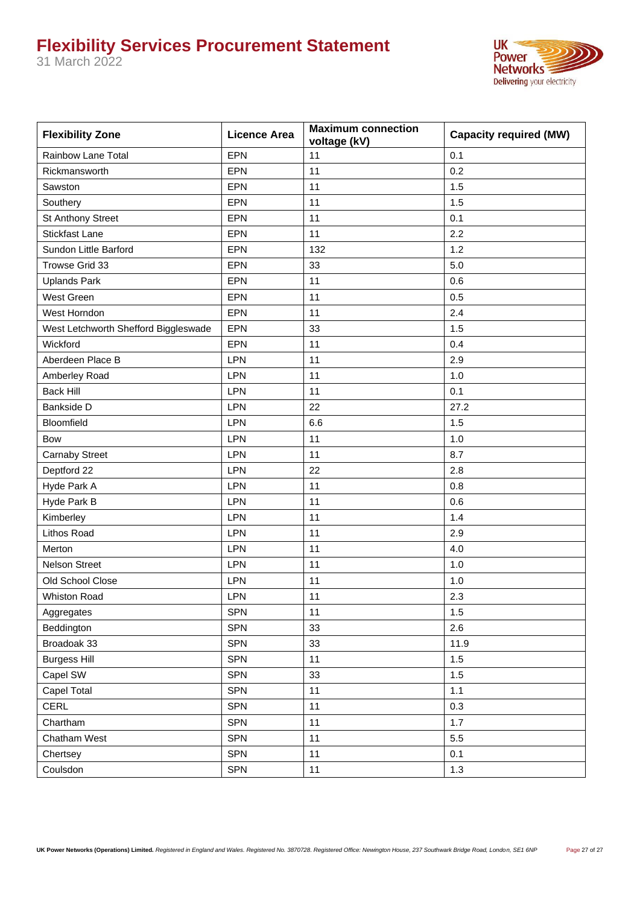31 March 2022



| <b>Flexibility Zone</b>              | <b>Licence Area</b> | <b>Maximum connection</b><br>voltage (kV) | <b>Capacity required (MW)</b> |
|--------------------------------------|---------------------|-------------------------------------------|-------------------------------|
| Rainbow Lane Total                   | <b>EPN</b>          | 11                                        | 0.1                           |
| Rickmansworth                        | EPN                 | 11                                        | 0.2                           |
| Sawston                              | EPN                 | 11                                        | 1.5                           |
| Southery                             | <b>EPN</b>          | 11                                        | 1.5                           |
| St Anthony Street                    | EPN                 | 11                                        | 0.1                           |
| <b>Stickfast Lane</b>                | EPN                 | 11                                        | 2.2                           |
| Sundon Little Barford                | EPN                 | 132                                       | 1.2                           |
| Trowse Grid 33                       | <b>EPN</b>          | 33                                        | 5.0                           |
| <b>Uplands Park</b>                  | EPN                 | 11                                        | 0.6                           |
| West Green                           | <b>EPN</b>          | 11                                        | 0.5                           |
| West Horndon                         | EPN                 | 11                                        | 2.4                           |
| West Letchworth Shefford Biggleswade | <b>EPN</b>          | 33                                        | 1.5                           |
| Wickford                             | EPN                 | 11                                        | 0.4                           |
| Aberdeen Place B                     | LPN                 | 11                                        | 2.9                           |
| Amberley Road                        | LPN                 | 11                                        | 1.0                           |
| <b>Back Hill</b>                     | LPN                 | 11                                        | 0.1                           |
| Bankside D                           | <b>LPN</b>          | 22                                        | 27.2                          |
| Bloomfield                           | <b>LPN</b>          | 6.6                                       | 1.5                           |
| Bow                                  | LPN                 | 11                                        | 1.0                           |
| <b>Carnaby Street</b>                | LPN                 | 11                                        | 8.7                           |
| Deptford 22                          | LPN                 | 22                                        | 2.8                           |
| Hyde Park A                          | LPN                 | 11                                        | 0.8                           |
| Hyde Park B                          | LPN                 | 11                                        | 0.6                           |
| Kimberley                            | LPN                 | 11                                        | 1.4                           |
| Lithos Road                          | LPN                 | 11                                        | 2.9                           |
| Merton                               | <b>LPN</b>          | 11                                        | 4.0                           |
| <b>Nelson Street</b>                 | LPN                 | 11                                        | 1.0                           |
| Old School Close                     | LPN                 | 11                                        | 1.0                           |
| <b>Whiston Road</b>                  | LPN                 | 11                                        | 2.3                           |
| Aggregates                           | <b>SPN</b>          | 11                                        | 1.5                           |
| Beddington                           | SPN                 | 33                                        | 2.6                           |
| Broadoak 33                          | <b>SPN</b>          | 33                                        | 11.9                          |
| <b>Burgess Hill</b>                  | <b>SPN</b>          | 11                                        | 1.5                           |
| Capel SW                             | SPN                 | 33                                        | 1.5                           |
| Capel Total                          | <b>SPN</b>          | 11                                        | $1.1$                         |
| CERL                                 | <b>SPN</b>          | 11                                        | 0.3                           |
| Chartham                             | SPN                 | 11                                        | 1.7                           |
| Chatham West                         | SPN                 | 11                                        | 5.5                           |
| Chertsey                             | SPN                 | $11$                                      | 0.1                           |
| Coulsdon                             | <b>SPN</b>          | 11                                        | 1.3                           |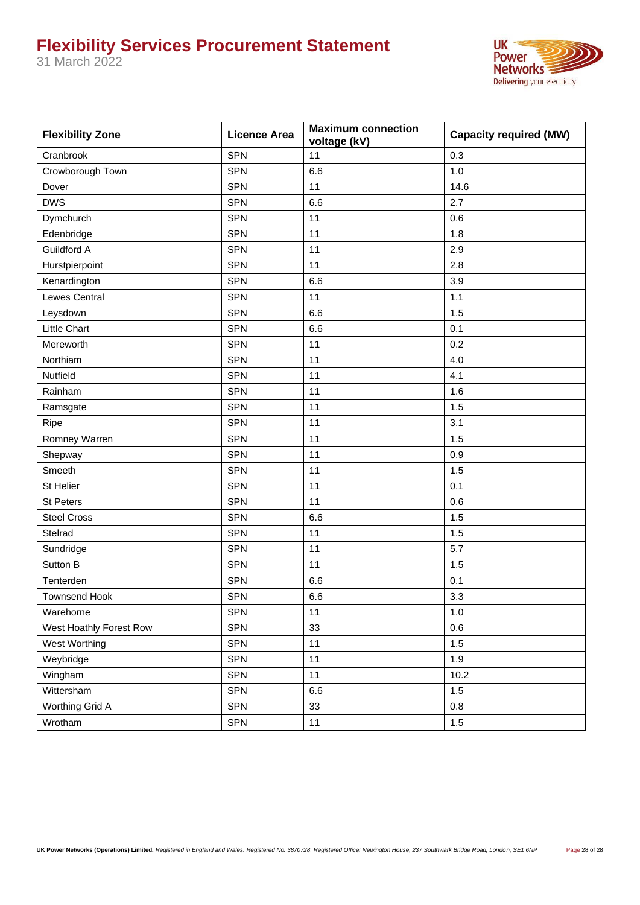31 March 2022



| <b>Flexibility Zone</b> | <b>Licence Area</b> | <b>Maximum connection</b><br>voltage (kV) | <b>Capacity required (MW)</b> |
|-------------------------|---------------------|-------------------------------------------|-------------------------------|
| Cranbrook               | <b>SPN</b>          | 11                                        | 0.3                           |
| Crowborough Town        | <b>SPN</b>          | 6.6                                       | 1.0                           |
| Dover                   | <b>SPN</b>          | 11                                        | 14.6                          |
| <b>DWS</b>              | <b>SPN</b>          | 6.6                                       | 2.7                           |
| Dymchurch               | <b>SPN</b>          | 11                                        | 0.6                           |
| Edenbridge              | <b>SPN</b>          | 11                                        | 1.8                           |
| Guildford A             | SPN                 | 11                                        | 2.9                           |
| Hurstpierpoint          | <b>SPN</b>          | 11                                        | 2.8                           |
| Kenardington            | <b>SPN</b>          | 6.6                                       | 3.9                           |
| Lewes Central           | <b>SPN</b>          | 11                                        | 1.1                           |
| Leysdown                | <b>SPN</b>          | 6.6                                       | 1.5                           |
| Little Chart            | <b>SPN</b>          | 6.6                                       | 0.1                           |
| Mereworth               | <b>SPN</b>          | 11                                        | 0.2                           |
| Northiam                | <b>SPN</b>          | 11                                        | 4.0                           |
| Nutfield                | <b>SPN</b>          | 11                                        | 4.1                           |
| Rainham                 | <b>SPN</b>          | 11                                        | 1.6                           |
| Ramsgate                | <b>SPN</b>          | 11                                        | 1.5                           |
| Ripe                    | <b>SPN</b>          | 11                                        | 3.1                           |
| Romney Warren           | <b>SPN</b>          | 11                                        | 1.5                           |
| Shepway                 | <b>SPN</b>          | 11                                        | 0.9                           |
| Smeeth                  | <b>SPN</b>          | 11                                        | 1.5                           |
| St Helier               | <b>SPN</b>          | 11                                        | 0.1                           |
| St Peters               | <b>SPN</b>          | 11                                        | 0.6                           |
| <b>Steel Cross</b>      | <b>SPN</b>          | 6.6                                       | 1.5                           |
| Stelrad                 | <b>SPN</b>          | 11                                        | 1.5                           |
| Sundridge               | <b>SPN</b>          | 11                                        | 5.7                           |
| Sutton B                | <b>SPN</b>          | 11                                        | 1.5                           |
| Tenterden               | <b>SPN</b>          | 6.6                                       | 0.1                           |
| <b>Townsend Hook</b>    | <b>SPN</b>          | 6.6                                       | 3.3                           |
| Warehorne               | <b>SPN</b>          | 11                                        | 1.0                           |
| West Hoathly Forest Row | SPN                 | 33                                        | 0.6                           |
| West Worthing           | SPN                 | 11                                        | 1.5                           |
| Weybridge               | SPN                 | 11                                        | 1.9                           |
| Wingham                 | SPN                 | 11                                        | 10.2                          |
| Wittersham              | SPN                 | 6.6                                       | 1.5                           |
| Worthing Grid A         | SPN                 | 33                                        | $0.8\,$                       |
| Wrotham                 | SPN                 | 11                                        | $1.5$                         |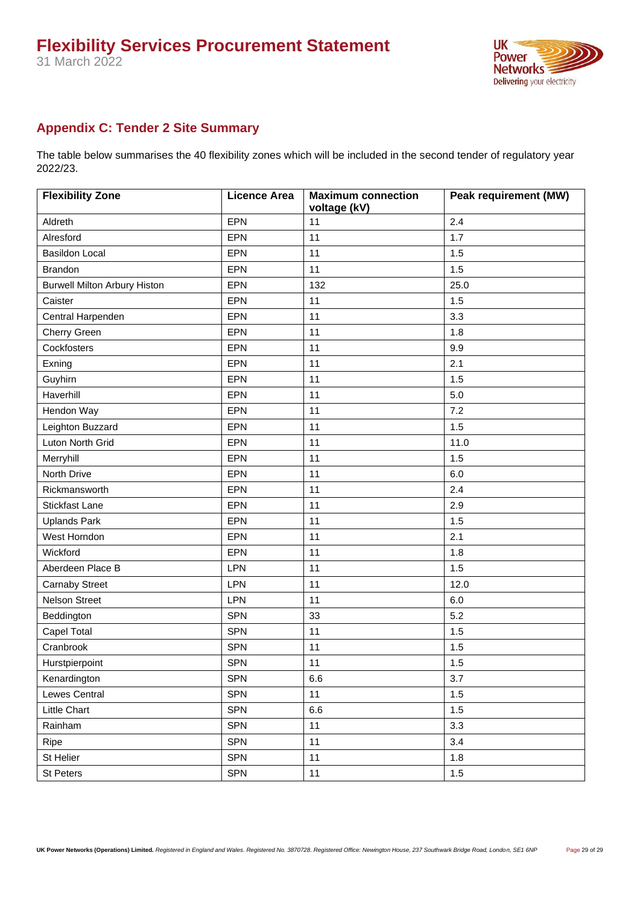

### <span id="page-28-0"></span>**Appendix C: Tender 2 Site Summary**

The table below summarises the 40 flexibility zones which will be included in the second tender of regulatory year 2022/23.

| <b>Flexibility Zone</b>             | <b>Licence Area</b> | <b>Maximum connection</b><br>voltage (kV) | <b>Peak requirement (MW)</b> |
|-------------------------------------|---------------------|-------------------------------------------|------------------------------|
| Aldreth                             | <b>EPN</b>          | 11                                        | 2.4                          |
| Alresford                           | EPN                 | 11                                        | 1.7                          |
| <b>Basildon Local</b>               | EPN                 | 11                                        | 1.5                          |
| <b>Brandon</b>                      | EPN                 | 11                                        | 1.5                          |
| <b>Burwell Milton Arbury Histon</b> | EPN                 | 132                                       | 25.0                         |
| Caister                             | EPN                 | 11                                        | 1.5                          |
| Central Harpenden                   | EPN                 | 11                                        | 3.3                          |
| Cherry Green                        | EPN                 | 11                                        | 1.8                          |
| Cockfosters                         | EPN                 | 11                                        | 9.9                          |
| Exning                              | EPN                 | 11                                        | 2.1                          |
| Guyhirn                             | EPN                 | 11                                        | 1.5                          |
| Haverhill                           | EPN                 | 11                                        | 5.0                          |
| Hendon Way                          | EPN                 | 11                                        | 7.2                          |
| Leighton Buzzard                    | EPN                 | 11                                        | 1.5                          |
| Luton North Grid                    | EPN                 | 11                                        | 11.0                         |
| Merryhill                           | EPN                 | 11                                        | 1.5                          |
| North Drive                         | EPN                 | 11                                        | 6.0                          |
| Rickmansworth                       | EPN                 | 11                                        | 2.4                          |
| <b>Stickfast Lane</b>               | EPN                 | 11                                        | 2.9                          |
| <b>Uplands Park</b>                 | EPN                 | 11                                        | 1.5                          |
| West Horndon                        | EPN                 | 11                                        | 2.1                          |
| Wickford                            | EPN                 | 11                                        | 1.8                          |
| Aberdeen Place B                    | <b>LPN</b>          | 11                                        | 1.5                          |
| <b>Carnaby Street</b>               | LPN                 | 11                                        | 12.0                         |
| Nelson Street                       | <b>LPN</b>          | 11                                        | 6.0                          |
| Beddington                          | <b>SPN</b>          | 33                                        | 5.2                          |
| Capel Total                         | <b>SPN</b>          | 11                                        | 1.5                          |
| Cranbrook                           | <b>SPN</b>          | 11                                        | 1.5                          |
| Hurstpierpoint                      | <b>SPN</b>          | 11                                        | 1.5                          |
| Kenardington                        | <b>SPN</b>          | 6.6                                       | 3.7                          |
| Lewes Central                       | SPN                 | 11                                        | 1.5                          |
| Little Chart                        | SPN                 | 6.6                                       | 1.5                          |
| Rainham                             | SPN                 | 11                                        | 3.3                          |
| Ripe                                | SPN                 | 11                                        | 3.4                          |
| St Helier                           | SPN                 | 11                                        | 1.8                          |
| St Peters                           | SPN                 | 11                                        | $1.5\,$                      |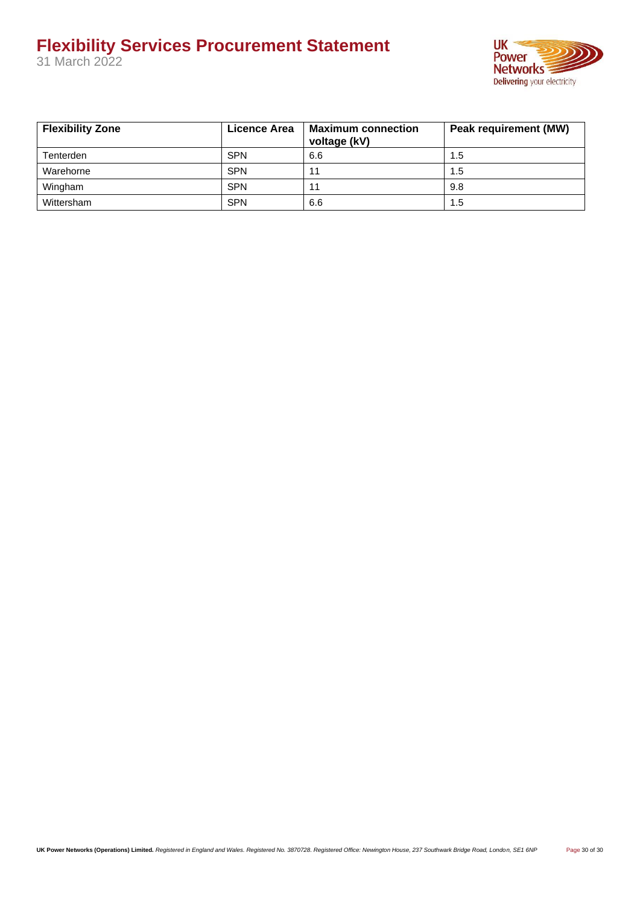31 March 2022



| <b>Flexibility Zone</b> | Licence Area | <b>Maximum connection</b><br>voltage (kV) | <b>Peak requirement (MW)</b> |
|-------------------------|--------------|-------------------------------------------|------------------------------|
| Tenterden               | <b>SPN</b>   | 6.6                                       | 1.5                          |
| Warehorne               | <b>SPN</b>   | 11                                        | 1.5                          |
| Wingham                 | <b>SPN</b>   | 11                                        | 9.8                          |
| Wittersham              | <b>SPN</b>   | 6.6                                       | 1.5                          |